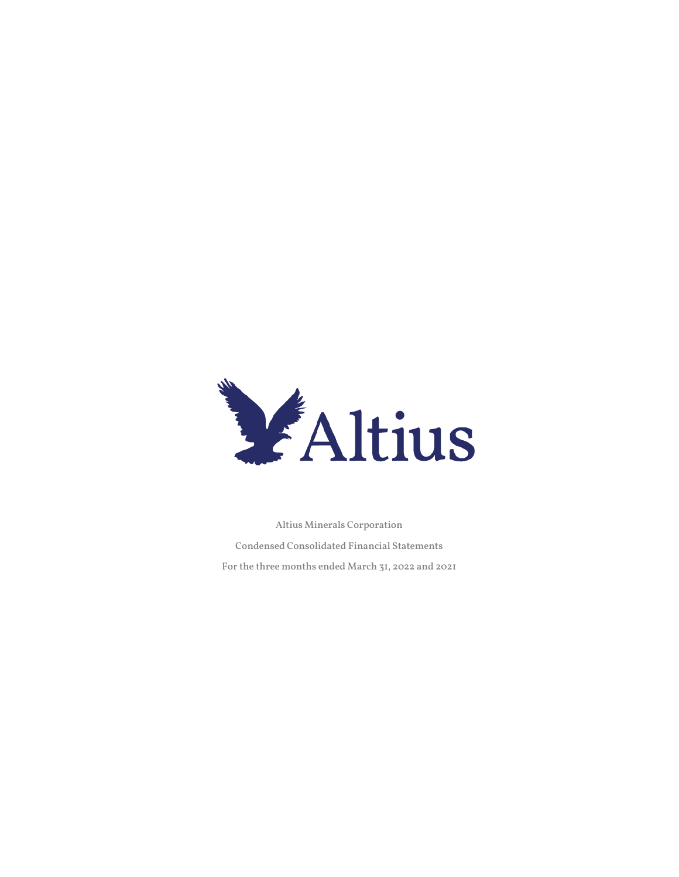

Altius Minerals Corporation Condensed Consolidated Financial Statements For the three months ended March 31, 2022 and 2021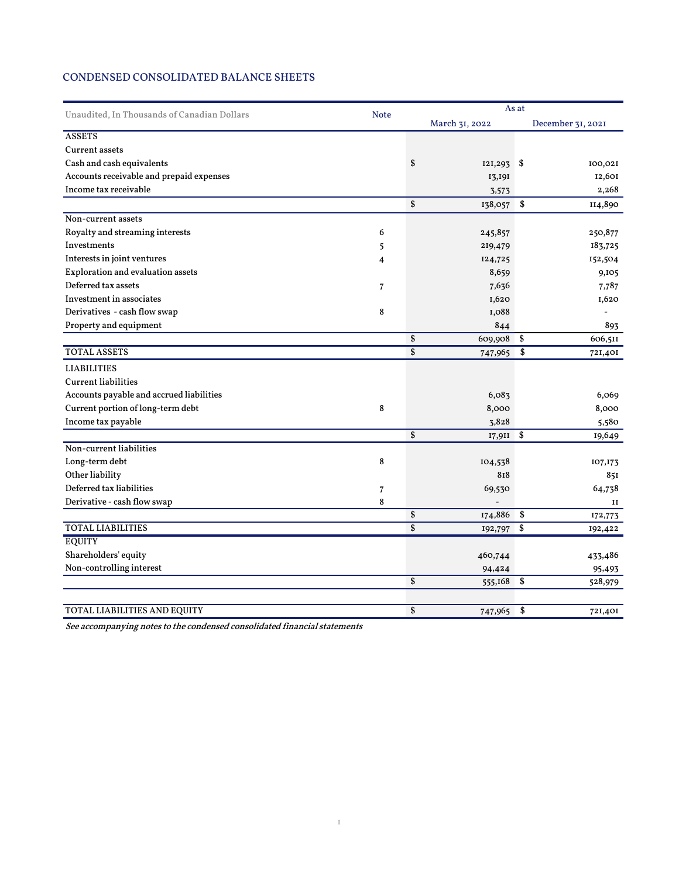# CONDENSED CONSOLIDATED BALANCE SHEETS

| Unaudited, In Thousands of Canadian Dollars | <b>Note</b>    | As at           |                |                   |         |  |  |
|---------------------------------------------|----------------|-----------------|----------------|-------------------|---------|--|--|
|                                             |                |                 | March 31, 2022 | December 31, 2021 |         |  |  |
| <b>ASSETS</b>                               |                |                 |                |                   |         |  |  |
| <b>Current assets</b>                       |                |                 |                |                   |         |  |  |
| Cash and cash equivalents                   |                | \$              | $121,293$ \$   |                   | 100,021 |  |  |
| Accounts receivable and prepaid expenses    |                |                 | 13,191         |                   | 12,601  |  |  |
| Income tax receivable                       |                |                 | 3,573          |                   | 2,268   |  |  |
|                                             |                | \$              | 138,057        | \$                | II4,890 |  |  |
| Non-current assets                          |                |                 |                |                   |         |  |  |
| Royalty and streaming interests             | 6              |                 | 245,857        |                   | 250,877 |  |  |
| Investments                                 | 5              |                 | 219,479        |                   | 183,725 |  |  |
| Interests in joint ventures                 | 4              |                 | 124,725        |                   | 152,504 |  |  |
| Exploration and evaluation assets           |                |                 | 8,659          |                   | 9,105   |  |  |
| Deferred tax assets                         | $\overline{7}$ |                 | 7,636          |                   | 7,787   |  |  |
| Investment in associates                    |                |                 | 1,620          |                   | 1,620   |  |  |
| Derivatives - cash flow swap                | 8              |                 | I,088          |                   |         |  |  |
| Property and equipment                      |                |                 | 844            |                   | 893     |  |  |
|                                             |                | \$              | 609,908        | \$                | 606,511 |  |  |
| <b>TOTAL ASSETS</b>                         |                | \$              | 747,965        | \$                | 721,401 |  |  |
| <b>LIABILITIES</b>                          |                |                 |                |                   |         |  |  |
| <b>Current liabilities</b>                  |                |                 |                |                   |         |  |  |
| Accounts payable and accrued liabilities    |                |                 | 6,083          |                   | 6,069   |  |  |
| Current portion of long-term debt           | 8              |                 | 8,000          |                   | 8,000   |  |  |
| Income tax payable                          |                |                 | 3,828          |                   | 5,580   |  |  |
|                                             |                | \$              | 17,911         | \$                | 19,649  |  |  |
| Non-current liabilities                     |                |                 |                |                   |         |  |  |
| Long-term debt                              | 8              |                 | 104,538        |                   | 107,173 |  |  |
| Other liability                             |                |                 | 818            |                   | 851     |  |  |
| Deferred tax liabilities                    | 7              |                 | 69,530         |                   | 64,738  |  |  |
| Derivative - cash flow swap                 | 8              |                 |                |                   | II      |  |  |
|                                             |                | \$              | 174,886        | \$                | 172,773 |  |  |
| <b>TOTAL LIABILITIES</b>                    |                | $\overline{\$}$ | 192,797        | \$                | 192,422 |  |  |
| <b>EQUITY</b>                               |                |                 |                |                   |         |  |  |
| Shareholders' equity                        |                |                 | 460,744        |                   | 433,486 |  |  |
| Non-controlling interest                    |                |                 | 94,424         |                   | 95,493  |  |  |
|                                             |                | \$              | 555,168        | \$                | 528,979 |  |  |
|                                             |                |                 |                |                   |         |  |  |
| <b>TOTAL LIABILITIES AND EQUITY</b>         |                | \$              | 747,965        | \$                | 721,401 |  |  |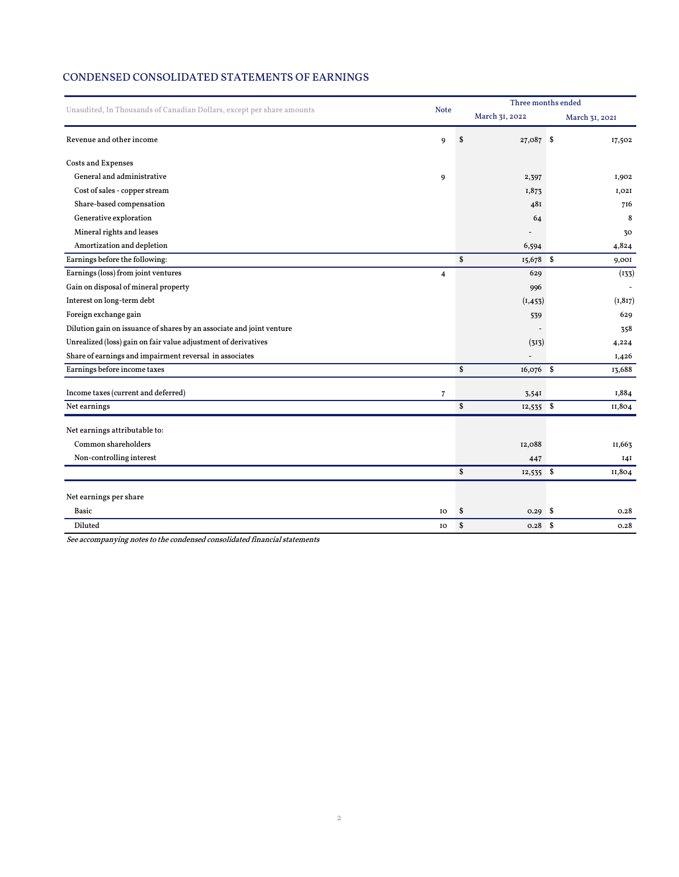## CONDENSED CONSOLIDATED STATEMENTS OF EARNINGS

| Unaudited, In Thousands of Canadian Dollars, except per share amounts |                         | Three months ended |                |  |                |  |
|-----------------------------------------------------------------------|-------------------------|--------------------|----------------|--|----------------|--|
|                                                                       | <b>Note</b>             |                    | March 31, 2022 |  | March 31, 2021 |  |
| Revenue and other income                                              | 9                       | \$                 | 27,087 \$      |  | 17,502         |  |
| <b>Costs and Expenses</b>                                             |                         |                    |                |  |                |  |
| General and administrative                                            | 9                       |                    | 2,397          |  | I,902          |  |
| Cost of sales - copper stream                                         |                         |                    | I,873          |  | I,02I          |  |
| Share-based compensation                                              |                         |                    | 481            |  | 716            |  |
| Generative exploration                                                |                         |                    | 64             |  | 8              |  |
| Mineral rights and leases                                             |                         |                    |                |  | 30             |  |
| Amortization and depletion                                            |                         |                    | 6,594          |  | 4,824          |  |
| Earnings before the following:                                        |                         | \$                 | 15,678 \$      |  | 9,001          |  |
| Earnings (loss) from joint ventures                                   | $\overline{\mathbf{4}}$ |                    | 629            |  | (133)          |  |
| Gain on disposal of mineral property                                  |                         |                    | 996            |  |                |  |
| Interest on long-term debt                                            |                         |                    | (I, 453)       |  | (1, 817)       |  |
| Foreign exchange gain                                                 |                         |                    | 539            |  | 629            |  |
| Dilution gain on issuance of shares by an associate and joint venture |                         |                    |                |  | 358            |  |
| Unrealized (loss) gain on fair value adjustment of derivatives        |                         |                    | (313)          |  | 4,224          |  |
| Share of earnings and impairment reversal in associates               |                         |                    |                |  | 1,426          |  |
| Earnings before income taxes                                          |                         | \$                 | 16,076 \$      |  | 13,688         |  |
| Income taxes (current and deferred)                                   | 7                       |                    | 3,54I          |  | 1,884          |  |
| Net earnings                                                          |                         | \$                 | $12,535$ \$    |  | II,804         |  |
| Net earnings attributable to:                                         |                         |                    |                |  |                |  |
| Common shareholders                                                   |                         |                    | 12,088         |  | II,663         |  |
| Non-controlling interest                                              |                         |                    | 447            |  | <b>I4I</b>     |  |
|                                                                       |                         | \$                 | $12,535$ \$    |  | II,804         |  |
| Net earnings per share                                                |                         |                    |                |  |                |  |
| Basic                                                                 | IO                      | \$                 |                |  | 0.28           |  |
| Diluted                                                               | IO                      | \$                 | $0.28$ \$      |  | 0.28           |  |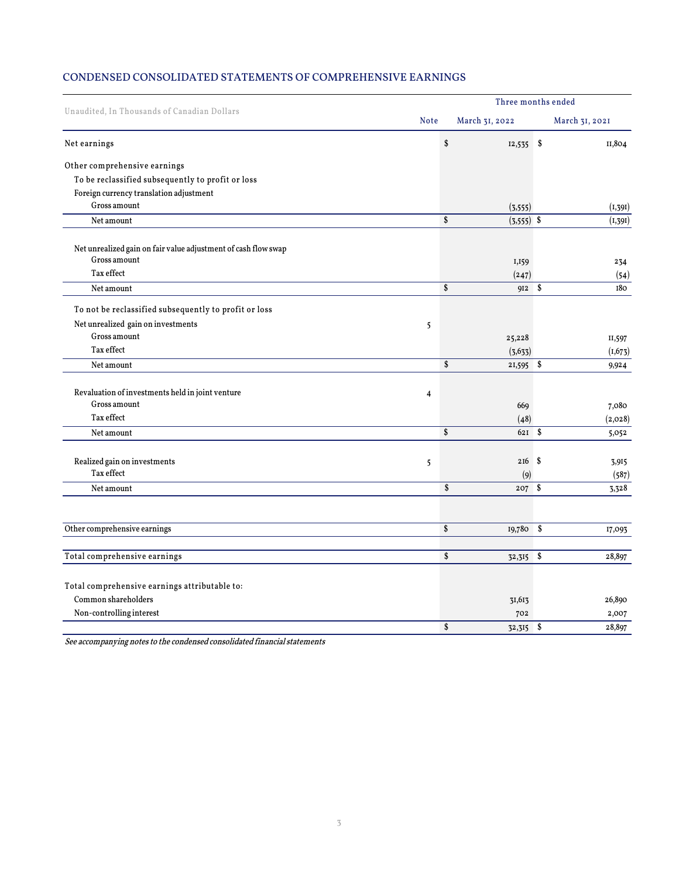# CONDENSED CONSOLIDATED STATEMENTS OF COMPREHENSIVE EARNINGS

| Unaudited, In Thousands of Canadian Dollars                    | Three months ended |                    |                |                |            |  |  |  |
|----------------------------------------------------------------|--------------------|--------------------|----------------|----------------|------------|--|--|--|
|                                                                |                    |                    | March 31, 2022 | March 31, 2021 |            |  |  |  |
| Net earnings                                                   |                    | \$                 | $12,535$ \$    |                | II,804     |  |  |  |
| Other comprehensive earnings                                   |                    |                    |                |                |            |  |  |  |
| To be reclassified subsequently to profit or loss              |                    |                    |                |                |            |  |  |  |
| Foreign currency translation adjustment                        |                    |                    |                |                |            |  |  |  |
| Gross amount                                                   |                    |                    | (3, 555)       |                | (1, 391)   |  |  |  |
| Net amount                                                     |                    | \$                 | $(3,555)$ \$   |                | (1, 391)   |  |  |  |
| Net unrealized gain on fair value adjustment of cash flow swap |                    |                    |                |                |            |  |  |  |
| $\rm Gross$ amount                                             |                    |                    | I, 159         |                | 234        |  |  |  |
| Tax effect                                                     |                    |                    | (247)          |                | (54)       |  |  |  |
| Net amount                                                     |                    | \$                 | 912 \$         |                | <b>180</b> |  |  |  |
| To not be reclassified subsequently to profit or loss          |                    |                    |                |                |            |  |  |  |
| Net unrealized gain on investments                             | 5                  |                    |                |                |            |  |  |  |
| Gross amount                                                   |                    |                    | 25,228         |                | II,597     |  |  |  |
| Tax effect                                                     |                    |                    | (3, 633)       |                | (1, 673)   |  |  |  |
| Net amount                                                     |                    | $\mathbf{\hat{s}}$ | $21,595$ \$    |                | 9,924      |  |  |  |
| Revaluation of investments held in joint venture               |                    |                    |                |                |            |  |  |  |
| Gross amount                                                   | $\overline{4}$     |                    | 669            |                | 7,080      |  |  |  |
| Tax effect                                                     |                    |                    | (48)           |                | (2,028)    |  |  |  |
| Net amount                                                     |                    | $\mathbf{s}$       | $621$ \$       |                | 5,052      |  |  |  |
|                                                                |                    |                    |                |                |            |  |  |  |
| Realized gain on investments                                   | 5                  |                    | $216$ \$       |                | 3,915      |  |  |  |
| Tax effect                                                     |                    |                    | (9)            |                | (587)      |  |  |  |
| Net amount                                                     |                    | \$                 | $207 \quad$    |                | 3,328      |  |  |  |
|                                                                |                    |                    |                |                |            |  |  |  |
| Other comprehensive earnings                                   |                    | \$                 | 19,780 \$      |                | 17,093     |  |  |  |
| Total comprehensive earnings                                   |                    | \$                 | 32,315         | \$             | 28,897     |  |  |  |
|                                                                |                    |                    |                |                |            |  |  |  |
| Total comprehensive earnings attributable to:                  |                    |                    |                |                |            |  |  |  |
| Common shareholders                                            |                    |                    | 31,613         |                | 26,890     |  |  |  |
| Non-controlling interest                                       |                    |                    | 702            |                | 2,007      |  |  |  |
|                                                                |                    | \$                 | 32,315 \$      |                | 28,897     |  |  |  |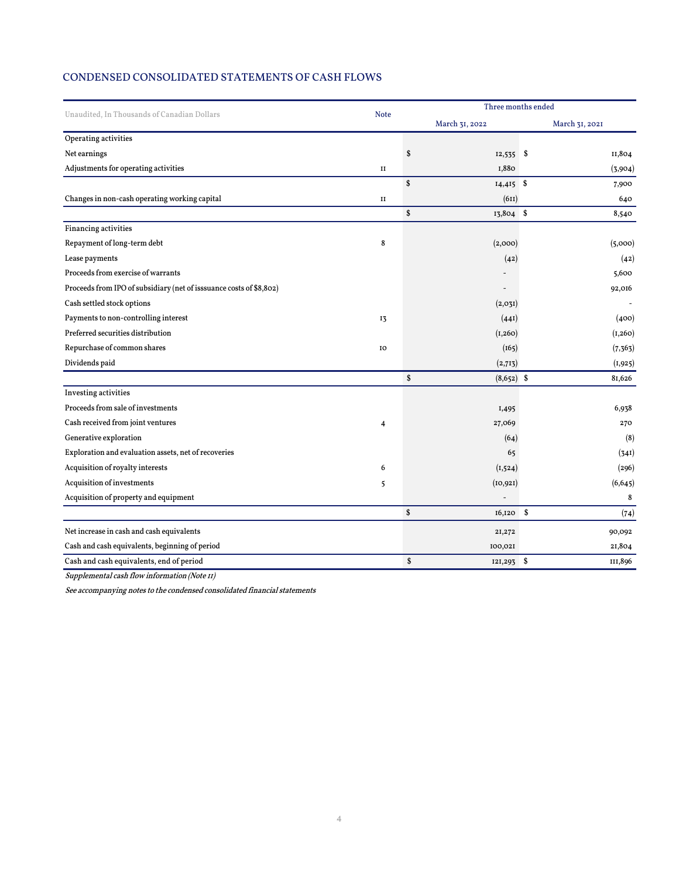## CONDENSED CONSOLIDATED STATEMENTS OF CASH FLOWS

| Unaudited, In Thousands of Canadian Dollars<br><b>Note</b><br>March 31, 2022<br>Operating activities<br>Net earnings<br>\$<br>$12,535$ \$<br>Adjustments for operating activities<br>1,880<br>$_{II}$<br>\$<br>$14,415$ \$<br>Changes in non-cash operating working capital<br>(611)<br>II<br>\$<br>13,804 \$<br>Financing activities<br>Repayment of long-term debt<br>8<br>(2,000)<br>Lease payments<br>(42)<br>Proceeds from exercise of warrants<br>Proceeds from IPO of subsidiary (net of isssuance costs of \$8,802)<br>Cash settled stock options<br>(2,03I)<br>Payments to non-controlling interest<br>(44I)<br>13<br>Preferred securities distribution<br>(I, 260)<br>Repurchase of common shares<br>(165)<br>IO<br>Dividends paid<br>(2,713)<br>\$<br>$(8,652)$ \$ | Three months ended |  |  |  |  |
|-------------------------------------------------------------------------------------------------------------------------------------------------------------------------------------------------------------------------------------------------------------------------------------------------------------------------------------------------------------------------------------------------------------------------------------------------------------------------------------------------------------------------------------------------------------------------------------------------------------------------------------------------------------------------------------------------------------------------------------------------------------------------------|--------------------|--|--|--|--|
|                                                                                                                                                                                                                                                                                                                                                                                                                                                                                                                                                                                                                                                                                                                                                                               | March 31, 2021     |  |  |  |  |
|                                                                                                                                                                                                                                                                                                                                                                                                                                                                                                                                                                                                                                                                                                                                                                               |                    |  |  |  |  |
|                                                                                                                                                                                                                                                                                                                                                                                                                                                                                                                                                                                                                                                                                                                                                                               | II,804             |  |  |  |  |
|                                                                                                                                                                                                                                                                                                                                                                                                                                                                                                                                                                                                                                                                                                                                                                               | (3,904)            |  |  |  |  |
|                                                                                                                                                                                                                                                                                                                                                                                                                                                                                                                                                                                                                                                                                                                                                                               | 7,900              |  |  |  |  |
|                                                                                                                                                                                                                                                                                                                                                                                                                                                                                                                                                                                                                                                                                                                                                                               | 640                |  |  |  |  |
|                                                                                                                                                                                                                                                                                                                                                                                                                                                                                                                                                                                                                                                                                                                                                                               | 8,540              |  |  |  |  |
|                                                                                                                                                                                                                                                                                                                                                                                                                                                                                                                                                                                                                                                                                                                                                                               |                    |  |  |  |  |
|                                                                                                                                                                                                                                                                                                                                                                                                                                                                                                                                                                                                                                                                                                                                                                               | (5,000)            |  |  |  |  |
|                                                                                                                                                                                                                                                                                                                                                                                                                                                                                                                                                                                                                                                                                                                                                                               | (42)               |  |  |  |  |
|                                                                                                                                                                                                                                                                                                                                                                                                                                                                                                                                                                                                                                                                                                                                                                               | 5,600              |  |  |  |  |
|                                                                                                                                                                                                                                                                                                                                                                                                                                                                                                                                                                                                                                                                                                                                                                               | 92,016             |  |  |  |  |
|                                                                                                                                                                                                                                                                                                                                                                                                                                                                                                                                                                                                                                                                                                                                                                               |                    |  |  |  |  |
|                                                                                                                                                                                                                                                                                                                                                                                                                                                                                                                                                                                                                                                                                                                                                                               | (400)              |  |  |  |  |
|                                                                                                                                                                                                                                                                                                                                                                                                                                                                                                                                                                                                                                                                                                                                                                               | (1,260)            |  |  |  |  |
|                                                                                                                                                                                                                                                                                                                                                                                                                                                                                                                                                                                                                                                                                                                                                                               | (7, 363)           |  |  |  |  |
|                                                                                                                                                                                                                                                                                                                                                                                                                                                                                                                                                                                                                                                                                                                                                                               | (1,925)            |  |  |  |  |
|                                                                                                                                                                                                                                                                                                                                                                                                                                                                                                                                                                                                                                                                                                                                                                               | 81,626             |  |  |  |  |
| Investing activities                                                                                                                                                                                                                                                                                                                                                                                                                                                                                                                                                                                                                                                                                                                                                          |                    |  |  |  |  |
| Proceeds from sale of investments<br>I,495                                                                                                                                                                                                                                                                                                                                                                                                                                                                                                                                                                                                                                                                                                                                    | 6,938              |  |  |  |  |
| Cash received from joint ventures<br>27,069<br>4                                                                                                                                                                                                                                                                                                                                                                                                                                                                                                                                                                                                                                                                                                                              | 270                |  |  |  |  |
| Generative exploration<br>(64)                                                                                                                                                                                                                                                                                                                                                                                                                                                                                                                                                                                                                                                                                                                                                | (8)                |  |  |  |  |
| Exploration and evaluation assets, net of recoveries<br>65                                                                                                                                                                                                                                                                                                                                                                                                                                                                                                                                                                                                                                                                                                                    | (341)              |  |  |  |  |
| Acquisition of royalty interests<br>6<br>(1,524)                                                                                                                                                                                                                                                                                                                                                                                                                                                                                                                                                                                                                                                                                                                              | (296)              |  |  |  |  |
| Acquisition of investments<br>(10, 921)<br>5                                                                                                                                                                                                                                                                                                                                                                                                                                                                                                                                                                                                                                                                                                                                  | (6, 645)           |  |  |  |  |
| Acquisition of property and equipment                                                                                                                                                                                                                                                                                                                                                                                                                                                                                                                                                                                                                                                                                                                                         | 8                  |  |  |  |  |
| \$<br>$16,120$ \$                                                                                                                                                                                                                                                                                                                                                                                                                                                                                                                                                                                                                                                                                                                                                             | (74)               |  |  |  |  |
| Net increase in cash and cash equivalents<br>21,272                                                                                                                                                                                                                                                                                                                                                                                                                                                                                                                                                                                                                                                                                                                           | 90,092             |  |  |  |  |
| Cash and cash equivalents, beginning of period<br>100,021                                                                                                                                                                                                                                                                                                                                                                                                                                                                                                                                                                                                                                                                                                                     | 21,804             |  |  |  |  |
| \$<br>Cash and cash equivalents, end of period<br>121,293 \$                                                                                                                                                                                                                                                                                                                                                                                                                                                                                                                                                                                                                                                                                                                  | III,896            |  |  |  |  |

Supplemental cash flow information (Note 11)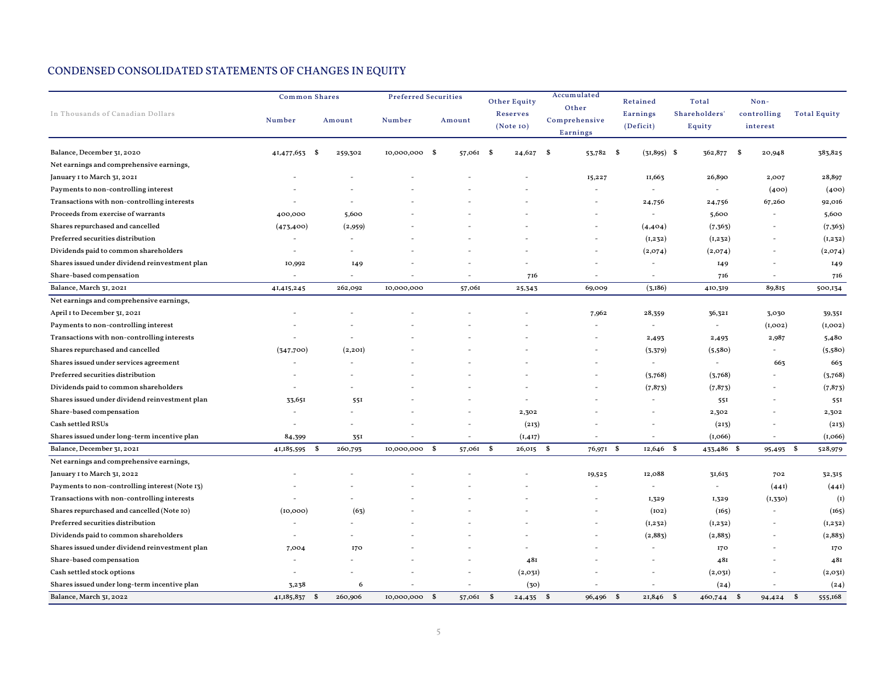|                                                |                                                                      | <b>Common Shares</b>      |                       | <b>Preferred Securities</b> |                             | Accumulated<br>Other | Retained                 | Total                    | Non-           |                         |
|------------------------------------------------|----------------------------------------------------------------------|---------------------------|-----------------------|-----------------------------|-----------------------------|----------------------|--------------------------|--------------------------|----------------|-------------------------|
| In Thousands of Canadian Dollars               | <b>Reserves</b><br>Number<br>Amount<br>Number<br>Amount<br>(Note 10) | Comprehensive<br>Earnings | Earnings<br>(Deficit) | Shareholders'<br>Equity     | controlling<br>interest     | <b>Total Equity</b>  |                          |                          |                |                         |
| Balance, December 31, 2020                     | 41,477,653 \$                                                        | 259,302                   | 10,000,000 \$         | 57,061                      | - \$<br>24,627              | 53,782 \$<br>- \$    | $(31,895)$ \$            | 362,877                  | - \$<br>20,948 | 383,825                 |
| Net earnings and comprehensive earnings,       |                                                                      |                           |                       |                             |                             |                      |                          |                          |                |                         |
| January I to March 31, 2021                    |                                                                      |                           |                       |                             |                             | 15,227               | II,663                   | 26,890                   | 2,007          | 28,897                  |
| Payments to non-controlling interest           |                                                                      |                           |                       |                             |                             |                      | $\sim$                   | $\sim$                   | (400)          | (400)                   |
| Transactions with non-controlling interests    |                                                                      |                           |                       |                             |                             |                      | 24,756                   | 24,756                   | 67,260         | 92,016                  |
| Proceeds from exercise of warrants             | 400,000                                                              | 5,600                     |                       |                             |                             |                      | $\overline{\phantom{a}}$ | 5,600                    |                | 5,600                   |
| Shares repurchased and cancelled               | (473, 400)                                                           | (2,959)                   |                       |                             |                             |                      | (4,404)                  | (7, 363)                 |                | (7, 363)                |
| Preferred securities distribution              |                                                                      |                           |                       |                             |                             |                      | (1,232)                  | (1,232)                  |                | (I, 232)                |
| Dividends paid to common shareholders          | $\sim$                                                               |                           |                       |                             |                             |                      | (2,074)                  | (2,074)                  |                | (2,074)                 |
| Shares issued under dividend reinvestment plan | 10,992                                                               | 149                       |                       |                             |                             |                      |                          | 149                      |                | 149                     |
| Share-based compensation                       |                                                                      |                           |                       |                             | 716                         |                      |                          | 716                      |                | 716                     |
| Balance, March 31, 2021                        | 41,415,245                                                           | 262,092                   | 10,000,000            | 57,061                      | 25,343                      | 69,009               | (3,186)                  | 410,319                  | 89,815         | 500,134                 |
| Net earnings and comprehensive earnings,       |                                                                      |                           |                       |                             |                             |                      |                          |                          |                |                         |
| April I to December 31, 2021                   |                                                                      |                           |                       |                             |                             | 7,962                | 28,359                   | 36,321                   | 3,030          | 39,351                  |
| Payments to non-controlling interest           |                                                                      |                           |                       |                             |                             |                      | $\overline{\phantom{a}}$ | $\overline{\phantom{a}}$ | (I,OO2)        | (I,OO2)                 |
| Transactions with non-controlling interests    |                                                                      |                           |                       |                             |                             |                      | 2,493                    | 2,493                    | 2,987          | 5,480                   |
| Shares repurchased and cancelled               | (347,700)                                                            | (2, 20I)                  |                       |                             |                             |                      | (3,379)                  | (5,580)                  |                | (5,580)                 |
| Shares issued under services agreement         |                                                                      |                           |                       |                             |                             |                      | $\sim$                   | $\sim$                   | 663            | 663                     |
| Preferred securities distribution              |                                                                      |                           |                       |                             |                             |                      | (3,768)                  | (3,768)                  |                | (3,768)                 |
| Dividends paid to common shareholders          |                                                                      |                           |                       |                             |                             |                      | (7, 873)                 | (7, 873)                 |                | (7, 873)                |
| Shares issued under dividend reinvestment plan | 33,651                                                               | 551                       |                       |                             |                             |                      |                          | 551                      |                | 551                     |
| Share-based compensation                       |                                                                      |                           |                       |                             | 2,302                       |                      |                          | 2,302                    |                | 2,302                   |
| Cash settled RSUs                              |                                                                      |                           |                       |                             | (213)                       |                      |                          | (213)                    |                | (213)                   |
| Shares issued under long-term incentive plan   | 84,399                                                               | 351                       |                       |                             | (I, 4I7)                    |                      |                          | (I, 066)                 | $\sim$         | (I, 066)                |
| Balance, December 31, 2021                     | 41,185,595<br>-\$                                                    | 260,793                   | 10,000,000 \$         | 57,061                      | $\mathbf{s}$<br>$26,015$ \$ | 76,971 \$            | $12,646$ \$              | 433,486 \$               | 95,493 \$      | 528,979                 |
| Net earnings and comprehensive earnings,       |                                                                      |                           |                       |                             |                             |                      |                          |                          |                |                         |
| January I to March 31, 2022                    |                                                                      |                           |                       |                             |                             | 19,525               | 12,088                   | 31,613                   | 702            | 32,315                  |
| Payments to non-controlling interest (Note 13) |                                                                      |                           |                       |                             |                             |                      | $\overline{\phantom{a}}$ | $\omega$                 | (441)          | (441)                   |
| Transactions with non-controlling interests    |                                                                      |                           |                       |                             |                             |                      | 1,329                    | 1,329                    | (1, 330)       | (I)                     |
| Shares repurchased and cancelled (Note 10)     | (10,000)                                                             | (63)                      |                       |                             |                             |                      | (102)                    | (165)                    |                | (165)                   |
| Preferred securities distribution              |                                                                      |                           |                       |                             |                             |                      | (1, 232)                 | (1, 232)                 |                | (I, 232)                |
| Dividends paid to common shareholders          |                                                                      |                           |                       |                             |                             |                      | (2,883)                  | (2,883)                  |                | (2,883)                 |
| Shares issued under dividend reinvestment plan | 7,004                                                                | 170                       |                       |                             |                             |                      |                          | 170                      |                | 170                     |
| Share-based compensation                       |                                                                      |                           |                       |                             | 481                         |                      |                          | 481                      |                | 481                     |
| Cash settled stock options                     |                                                                      |                           |                       |                             | (2,03I)                     |                      |                          | (2,03I)                  |                | (2,031)                 |
| Shares issued under long-term incentive plan   | 3,238                                                                | 6                         |                       |                             | (30)                        |                      |                          | (24)                     |                | (24)                    |
| Balance, March 31, 2022                        | 41,185,837 \$                                                        | 260,906                   | 10,000,000 \$         | 57,061                      | $\mathbf{s}$<br>$24,435$ \$ | 96,496 \$            | 21,846 \$                | 460,744 \$               | 94,424         | $\mathbf{s}$<br>555,168 |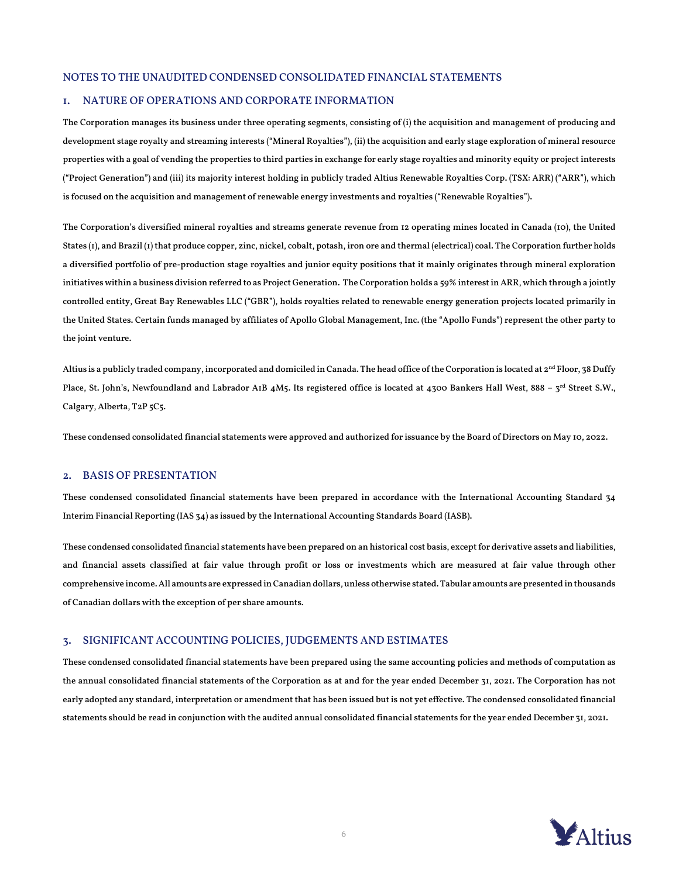### NOTES TO THE UNAUDITED CONDENSED CONSOLIDATED FINANCIAL STATEMENTS

### 1. NATURE OF OPERATIONS AND CORPORATE INFORMATION

The Corporation manages its business under three operating segments, consisting of (i) the acquisition and management of producing and development stage royalty and streaming interests ("Mineral Royalties"), (ii) the acquisition and early stage exploration of mineral resource properties with a goal of vending the properties to third parties in exchange for early stage royalties and minority equity or project interests ("Project Generation") and (iii) its majority interest holding in publicly traded Altius Renewable Royalties Corp. (TSX: ARR) ("ARR"), which is focused on the acquisition and management of renewable energy investments and royalties ("Renewable Royalties").

The Corporation's diversified mineral royalties and streams generate revenue from 12 operating mines located in Canada (10), the United States (1), and Brazil (1) that produce copper, zinc, nickel, cobalt, potash, iron ore and thermal (electrical) coal. The Corporation further holds a diversified portfolio of pre-production stage royalties and junior equity positions that it mainly originates through mineral exploration initiatives within a business division referred to as Project Generation. The Corporation holds a 59% interest in ARR, which through a jointly controlled entity, Great Bay Renewables LLC ("GBR"), holds royalties related to renewable energy generation projects located primarily in the United States. Certain funds managed by affiliates of Apollo Global Management, Inc. (the "Apollo Funds") represent the other party to the joint venture.

Altius is a publicly traded company, incorporated and domiciled in Canada. The head office of the Corporation is located at 2<sup>nd</sup> Floor, 38 Duffy Place, St. John's, Newfoundland and Labrador A1B 4M5. Its registered office is located at 4300 Bankers Hall West, 888 - 3rd Street S.W., Calgary, Alberta, T2P 5C5.

These condensed consolidated financial statements were approved and authorized for issuance by the Board of Directors on May 10, 2022.

## 2. BASIS OF PRESENTATION

These condensed consolidated financial statements have been prepared in accordance with the International Accounting Standard 34 Interim Financial Reporting (IAS 34) as issued by the International Accounting Standards Board (IASB).

These condensed consolidated financial statements have been prepared on an historical cost basis, except for derivative assets and liabilities, and financial assets classified at fair value through profit or loss or investments which are measured at fair value through other comprehensive income. All amounts are expressed in Canadian dollars, unless otherwise stated. Tabular amounts are presented in thousands of Canadian dollars with the exception of per share amounts.

### 3. SIGNIFICANT ACCOUNTING POLICIES, JUDGEMENTS AND ESTIMATES

These condensed consolidated financial statements have been prepared using the same accounting policies and methods of computation as the annual consolidated financial statements of the Corporation as at and for the year ended December 31, 2021. The Corporation has not early adopted any standard, interpretation or amendment that has been issued but is not yet effective. The condensed consolidated financial statements should be read in conjunction with the audited annual consolidated financial statements for the year ended December 31, 2021.

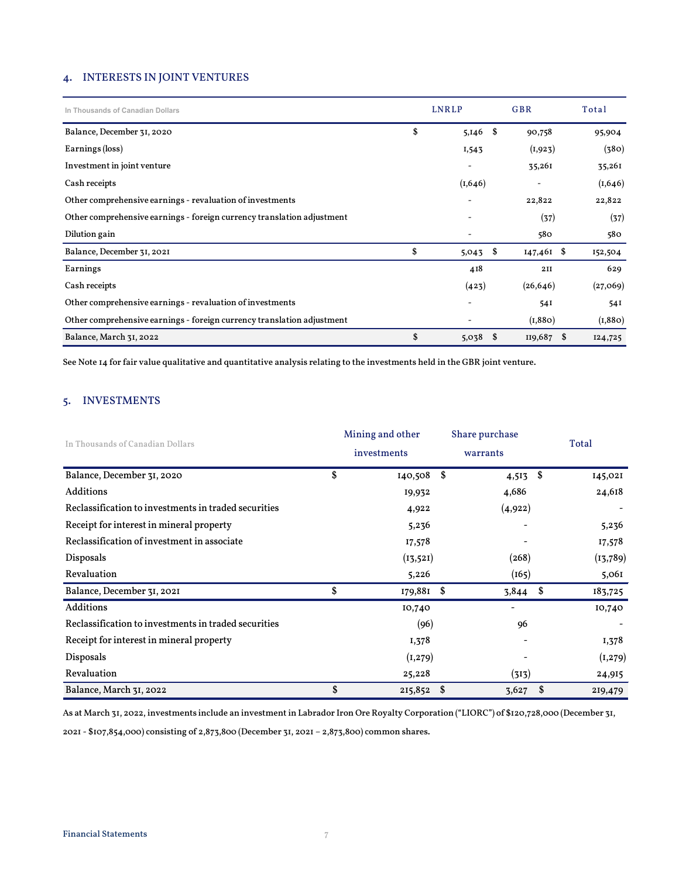## 4. INTERESTS IN JOINT VENTURES

| In Thousands of Canadian Dollars                                       | <b>LNRLP</b>             | <b>GBR</b> |              | Total    |
|------------------------------------------------------------------------|--------------------------|------------|--------------|----------|
| Balance, December 31, 2020                                             | \$<br>5,146              | \$         | 90,758       | 95,904   |
| Earnings (loss)                                                        | 1,543                    |            | (I, 923)     | (380)    |
| Investment in joint venture                                            |                          |            | 35,261       | 35,261   |
| Cash receipts                                                          | (I, 646)                 |            |              | (I, 646) |
| Other comprehensive earnings - revaluation of investments              |                          |            | 22,822       | 22,822   |
| Other comprehensive earnings - foreign currency translation adjustment |                          |            | (37)         | (37)     |
| Dilution gain                                                          | -                        |            | 580          | 580      |
| Balance, December 31, 2021                                             | \$<br>5,043              | \$         | $147,461$ \$ | 152,504  |
| Earnings                                                               | 418                      |            | 2II          | 629      |
| Cash receipts                                                          | (423)                    |            | (26, 646)    | (27,069) |
| Other comprehensive earnings - revaluation of investments              | $\overline{\phantom{a}}$ |            | 54I          | 54I      |
| Other comprehensive earnings - foreign currency translation adjustment |                          |            | (I, 880)     | (I, 880) |
| Balance, March 31, 2022                                                | \$<br>5,038              | \$         | $I19,687$ \$ | 124,725  |

See Note 14 for fair value qualitative and quantitative analysis relating to the investments held in the GBR joint venture.

# 5. INVESTMENTS

| In Thousands of Canadian Dollars                     | Mining and other<br>investments | Share purchase<br>warrants |     | Total     |
|------------------------------------------------------|---------------------------------|----------------------------|-----|-----------|
| Balance, December 31, 2020                           | \$<br>140,508 \$                | $4,513$ \$                 |     | 145,021   |
| Additions                                            | 19,932                          | 4,686                      |     | 24,618    |
| Reclassification to investments in traded securities | 4,922                           | (4,922)                    |     |           |
| Receipt for interest in mineral property             | 5,236                           |                            |     | 5,236     |
| Reclassification of investment in associate          | 17,578                          |                            |     | 17,578    |
| Disposals                                            | (13, 521)                       | (268)                      |     | (13, 789) |
| Revaluation                                          | 5,226                           | (165)                      |     | 5,061     |
| Balance, December 31, 2021                           | \$<br>179,881 \$                | 3,844                      | -\$ | 183,725   |
| Additions                                            | 10,740                          | $\overline{a}$             |     | 10,740    |
| Reclassification to investments in traded securities | (96)                            | 96                         |     |           |
| Receipt for interest in mineral property             | 1,378                           |                            |     | 1,378     |
| Disposals                                            | (1, 279)                        |                            |     | (I, 279)  |
| Revaluation                                          | 25,228                          | (313)                      |     | 24,915    |
| Balance, March 31, 2022                              | \$<br>$215,852$ \$              | $3,627$ \$                 |     | 219,479   |

As at March 31, 2022, investments include an investment in Labrador Iron Ore Royalty Corporation ("LIORC") of \$120,728,000 (December 31,

2021 - \$107,854,000) consisting of 2,873,800 (December 31, 2021 – 2,873,800) common shares.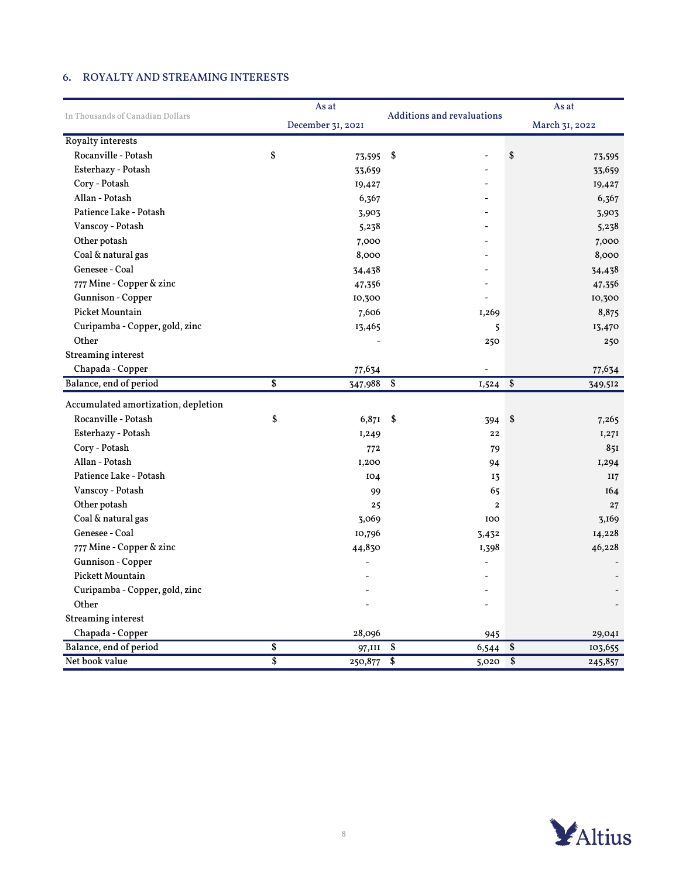# 6. ROYALTY AND STREAMING INTERESTS

|                                     |                 | As at             |                            | As at                 |
|-------------------------------------|-----------------|-------------------|----------------------------|-----------------------|
| In Thousands of Canadian Dollars    |                 | December 31, 2021 | Additions and revaluations | March 31, 2022        |
| <b>Royalty interests</b>            |                 |                   |                            |                       |
| Rocanville - Potash                 | \$              | 73,595 \$         |                            | \$<br>73,595          |
| Esterhazy - Potash                  |                 | 33,659            |                            | 33,659                |
| Cory - Potash                       |                 | 19,427            |                            | 19,427                |
| Allan - Potash                      |                 | 6,367             |                            | 6,367                 |
| Patience Lake - Potash              |                 | 3,903             |                            | 3,903                 |
| Vanscoy - Potash                    |                 | 5,238             |                            | 5,238                 |
| Other potash                        |                 | 7,000             |                            | 7,000                 |
| Coal & natural gas                  |                 | 8,000             |                            | 8,000                 |
| Genesee - Coal                      |                 | 34,438            |                            | 34,438                |
| 777 Mine - Copper & zinc            |                 | 47,356            |                            | 47,356                |
| Gunnison - Copper                   |                 | 10,300            |                            | 10,300                |
| Picket Mountain                     |                 | 7,606             | I,269                      | 8,875                 |
| Curipamba - Copper, gold, zinc      |                 | 13,465            | 5                          | 13,470                |
| Other                               |                 |                   | 250                        | 250                   |
| <b>Streaming interest</b>           |                 |                   |                            |                       |
| Chapada - Copper                    |                 | 77,634            |                            | 77,634                |
| Balance, end of period              | $\overline{\$}$ | $347,988$ \$      | 1,524                      | \$<br>349,512         |
| Accumulated amortization, depletion |                 |                   |                            |                       |
| Rocanville - Potash                 | \$              | 6,871 \$          | 394                        | \$<br>7,265           |
| Esterhazy - Potash                  |                 | I,249             | 22                         | I,27I                 |
| Cory - Potash                       |                 | 772               | 79                         | 851                   |
| Allan - Potash                      |                 | I,200             | 94                         | I,294                 |
| Patience Lake - Potash              |                 | 104               | 13                         | II7                   |
| Vanscoy - Potash                    |                 | 99                | 65                         | 164                   |
| Other potash                        |                 | 25                | $\bf{2}$                   | 27                    |
| Coal & natural gas                  |                 | 3,069             | 100                        | 3,169                 |
| Genesee - Coal                      |                 | 10,796            | 3,432                      | 14,228                |
| 777 Mine - Copper & zinc            |                 | 44,830            | I,398                      | 46,228                |
| Gunnison - Copper                   |                 |                   |                            |                       |
| Pickett Mountain                    |                 |                   |                            |                       |
| Curipamba - Copper, gold, zinc      |                 |                   |                            |                       |
| Other                               |                 |                   |                            |                       |
| <b>Streaming interest</b>           |                 |                   |                            |                       |
| Chapada - Copper                    |                 | 28,096            | 945                        | 29,041                |
| Balance, end of period              | \$              | 97,III \$         | 6,544                      | $\sqrt{3}$<br>103,655 |
| Net book value                      | $\overline{\$}$ | $250,877$ \$      | $5,020$ \$                 | 245,857               |

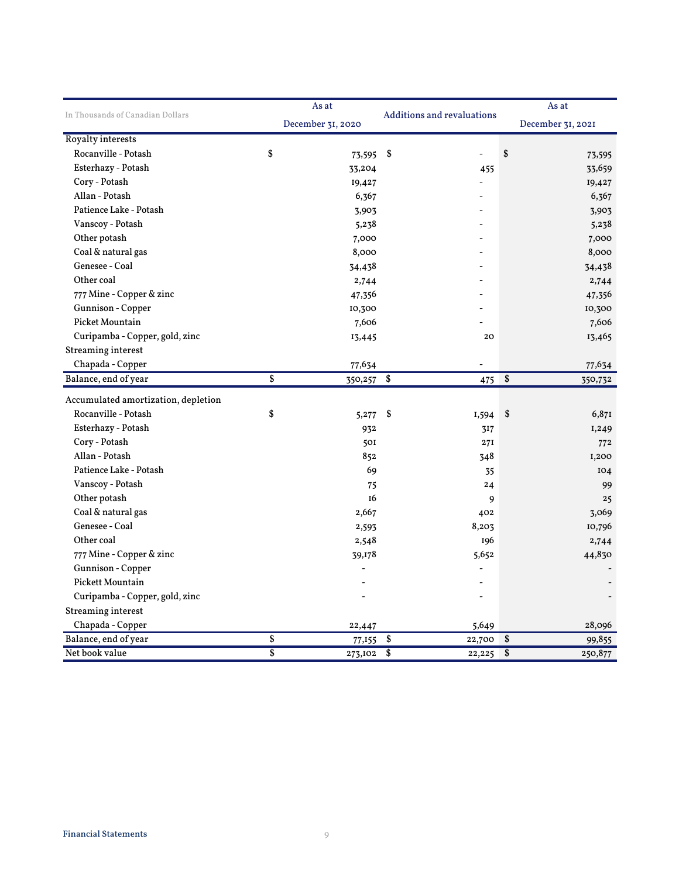|                                     |                 | As at             |                                   | As at  |                            |  |
|-------------------------------------|-----------------|-------------------|-----------------------------------|--------|----------------------------|--|
| In Thousands of Canadian Dollars    |                 | December 31, 2020 | <b>Additions and revaluations</b> |        | December 31, 2021          |  |
| <b>Royalty interests</b>            |                 |                   |                                   |        |                            |  |
| Rocanville - Potash                 | \$              | 73,595 \$         |                                   |        | \$<br>73,595               |  |
| Esterhazy - Potash                  |                 | 33,204            |                                   | 455    | 33,659                     |  |
| Cory - Potash                       |                 | 19,427            |                                   |        | 19,427                     |  |
| Allan - Potash                      |                 | 6,367             |                                   |        | 6,367                      |  |
| Patience Lake - Potash              |                 | 3,903             |                                   |        | 3,903                      |  |
| Vanscoy - Potash                    |                 | 5,238             |                                   |        | 5,238                      |  |
| Other potash                        |                 | 7,000             |                                   |        | 7,000                      |  |
| Coal & natural gas                  |                 | 8,000             |                                   |        | 8,000                      |  |
| Genesee - Coal                      |                 | 34,438            |                                   |        | 34,438                     |  |
| Other coal                          |                 | 2,744             |                                   |        | 2,744                      |  |
| 777 Mine - Copper & zinc            |                 | 47,356            |                                   |        | 47,356                     |  |
| Gunnison - Copper                   |                 | 10,300            |                                   |        | 10,300                     |  |
| <b>Picket Mountain</b>              |                 | 7,606             |                                   |        | 7,606                      |  |
| Curipamba - Copper, gold, zinc      |                 | 13,445            |                                   | 20     | 13,465                     |  |
| <b>Streaming interest</b>           |                 |                   |                                   |        |                            |  |
| Chapada - Copper                    |                 | 77,634            |                                   |        | 77,634                     |  |
| Balance, end of year                | \$              | $350,257$ \$      |                                   | 475    | $\overline{\$}$<br>350,732 |  |
| Accumulated amortization, depletion |                 |                   |                                   |        |                            |  |
| Rocanville - Potash                 | \$              | 5,277             | \$                                | I,594  | \$<br>6,871                |  |
| Esterhazy - Potash                  |                 | 932               |                                   | 317    | I,249                      |  |
| Cory - Potash                       |                 | 501               |                                   | 27I    | 772                        |  |
| Allan - Potash                      |                 | 852               |                                   | 348    | I,200                      |  |
| Patience Lake - Potash              |                 | 69                |                                   | 35     | IO4                        |  |
| Vanscoy - Potash                    |                 | 75                |                                   | 24     | 99                         |  |
| Other potash                        |                 | I6                |                                   | 9      | 25                         |  |
| Coal & natural gas                  |                 | 2,667             |                                   | 402    | 3,069                      |  |
| Genesee - Coal                      |                 | 2,593             |                                   | 8,203  | 10,796                     |  |
| Other coal                          |                 | 2,548             |                                   | 196    | 2,744                      |  |
| 777 Mine - Copper & zinc            |                 | 39,178            |                                   | 5,652  | 44,830                     |  |
| Gunnison - Copper                   |                 |                   |                                   |        |                            |  |
| Pickett Mountain                    |                 |                   |                                   |        |                            |  |
| Curipamba - Copper, gold, zinc      |                 |                   |                                   |        |                            |  |
| <b>Streaming interest</b>           |                 |                   |                                   |        |                            |  |
| Chapada - Copper                    |                 | 22,447            |                                   | 5,649  | 28,096                     |  |
| Balance, end of year                | \$              | 77,155            | 22,700<br>\$                      |        | \$<br>99,855               |  |
| Net book value                      | $\overline{\$}$ | 273,102           | \$                                | 22,225 | \$<br>250,877              |  |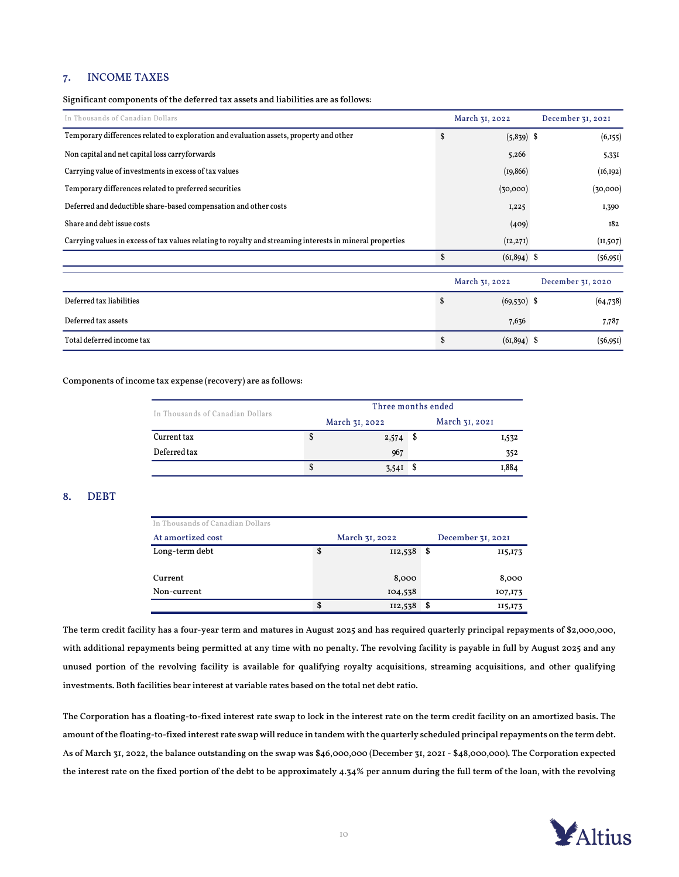## 7. INCOME TAXES

Significant components of the deferred tax assets and liabilities are as follows:

| In Thousands of Canadian Dollars                                                                          |    | March 31, 2022 | December 31, 2021 |
|-----------------------------------------------------------------------------------------------------------|----|----------------|-------------------|
| Temporary differences related to exploration and evaluation assets, property and other                    | S  | $(5,839)$ \$   | (6,155)           |
| Non capital and net capital loss carryforwards                                                            |    | 5,266          | 5,331             |
| Carrying value of investments in excess of tax values                                                     |    | (19, 866)      | (16, 192)         |
| Temporary differences related to preferred securities                                                     |    | (30,000)       | (30,000)          |
| Deferred and deductible share-based compensation and other costs                                          |    | 1,225          | 1,390             |
| Share and debt issue costs                                                                                |    | (409)          | 182               |
| Carrying values in excess of tax values relating to royalty and streaming interests in mineral properties |    | (12, 271)      | (II, 507)         |
|                                                                                                           | \$ | $(61,894)$ \$  | (56, 951)         |
|                                                                                                           |    | March 31, 2022 | December 31, 2020 |
| Deferred tax liabilities                                                                                  | \$ | $(69,530)$ \$  | (64, 738)         |
| Deferred tax assets                                                                                       |    | 7,636          | 7,787             |
| Total deferred income tax                                                                                 | \$ | $(61,894)$ \$  | (56, 951)         |

### Components of income tax expense (recovery) are as follows:

| In Thousands of Canadian Dollars | Three months ended |                |  |                |  |  |  |
|----------------------------------|--------------------|----------------|--|----------------|--|--|--|
|                                  |                    | March 31, 2022 |  | March 31, 2021 |  |  |  |
| Current tax                      | Φ                  | 2,574          |  | I,532          |  |  |  |
| Deferred tax                     |                    | 967            |  | 352            |  |  |  |
|                                  | S                  | <b>3.54I</b>   |  | .884           |  |  |  |

## 8. DEBT

| In Thousands of Canadian Dollars |                |   |                   |
|----------------------------------|----------------|---|-------------------|
| At amortized cost                | March 31, 2022 |   | December 31, 2021 |
| Long-term debt                   | \$<br>II2,538  | S | 115,173           |
|                                  |                |   |                   |
| Current                          | 8,000          |   | 8,000             |
| Non-current                      | 104,538        |   | 107,173           |
|                                  | \$<br>II2,538  |   | 115,173           |

The term credit facility has a four-year term and matures in August 2025 and has required quarterly principal repayments of \$2,000,000, with additional repayments being permitted at any time with no penalty. The revolving facility is payable in full by August 2025 and any unused portion of the revolving facility is available for qualifying royalty acquisitions, streaming acquisitions, and other qualifying investments. Both facilities bear interest at variable rates based on the total net debt ratio.

The Corporation has a floating-to-fixed interest rate swap to lock in the interest rate on the term credit facility on an amortized basis. The amount of the floating-to-fixed interest rate swap will reduce in tandem with the quarterly scheduled principal repayments on the term debt. As of March 31, 2022, the balance outstanding on the swap was \$46,000,000 (December 31, 2021 - \$48,000,000). The Corporation expected the interest rate on the fixed portion of the debt to be approximately 4.34% per annum during the full term of the loan, with the revolving

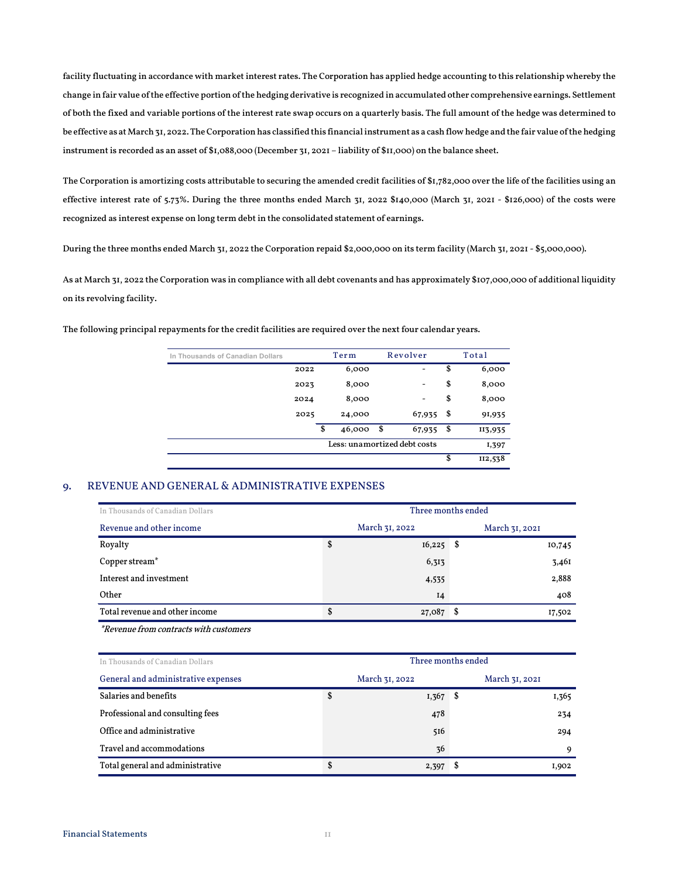facility fluctuating in accordance with market interest rates. The Corporation has applied hedge accounting to this relationship whereby the change in fair value of the effective portion of the hedging derivative is recognized in accumulated other comprehensive earnings. Settlement of both the fixed and variable portions of the interest rate swap occurs on a quarterly basis. The full amount of the hedge was determined to be effective as at March 31, 2022.The Corporation has classified this financial instrument as a cash flow hedge and the fair value of the hedging instrument is recorded as an asset of \$1,088,000 (December 31, 2021 – liability of \$11,000) on the balance sheet.

The Corporation is amortizing costs attributable to securing the amended credit facilities of \$1,782,000 over the life of the facilities using an effective interest rate of 5.73%. During the three months ended March 31, 2022 \$140,000 (March 31, 2021 - \$126,000) of the costs were recognized as interest expense on long term debt in the consolidated statement of earnings.

During the three months ended March 31, 2022 the Corporation repaid \$2,000,000 on its term facility (March 31, 2021 - \$5,000,000).

As at March 31, 2022 the Corporation was in compliance with all debt covenants and has approximately \$107,000,000 of additional liquidity on its revolving facility.

The following principal repayments for the credit facilities are required over the next four calendar years.

| In Thousands of Canadian Dollars |      | Term         |      | Revolver |                              |      |         |  | Total |
|----------------------------------|------|--------------|------|----------|------------------------------|------|---------|--|-------|
|                                  | 2022 | 6,000        |      |          | $\qquad \qquad \blacksquare$ | \$   | 6,000   |  |       |
|                                  | 2023 | 8,000        |      |          | ٠                            | \$   | 8,000   |  |       |
|                                  | 2024 | 8,000        |      |          | -                            | \$   | 8,000   |  |       |
|                                  | 2025 | 24,000       |      |          | 67,935                       | \$   | 91,935  |  |       |
|                                  |      | \$<br>46,000 | - \$ |          | 67,935                       | - \$ | II3,935 |  |       |
|                                  |      |              |      |          | Less: unamortized debt costs |      | I,397   |  |       |
|                                  |      |              |      |          |                              | S    | II2,538 |  |       |

## 9. REVENUE AND GENERAL & ADMINISTRATIVE EXPENSES

| In Thousands of Canadian Dollars | Three months ended |  |                |  |  |  |  |
|----------------------------------|--------------------|--|----------------|--|--|--|--|
| Revenue and other income         | March 31, 2022     |  | March 31, 2021 |  |  |  |  |
| Royalty                          | \$<br>$16,225$ \$  |  | 10,745         |  |  |  |  |
| Copper stream <sup>*</sup>       | 6,313              |  | 3,461          |  |  |  |  |
| Interest and investment          | 4,535              |  | 2,888          |  |  |  |  |
| Other                            | $I_4$              |  | 408            |  |  |  |  |
| Total revenue and other income   | \$<br>27,087       |  | 17,502         |  |  |  |  |

\*Revenue from contracts with customers

| In Thousands of Canadian Dollars    | Three months ended |            |   |                |  |  |
|-------------------------------------|--------------------|------------|---|----------------|--|--|
| General and administrative expenses | March 31, 2022     |            |   | March 31, 2021 |  |  |
| Salaries and benefits               | \$                 | $1,367$ \$ |   | 1,365          |  |  |
| Professional and consulting fees    |                    | 478        |   | 234            |  |  |
| Office and administrative           |                    | 516        |   | 294            |  |  |
| Travel and accommodations           |                    | 36         |   | 9              |  |  |
| Total general and administrative    | \$                 | 2,397      | S | I,902          |  |  |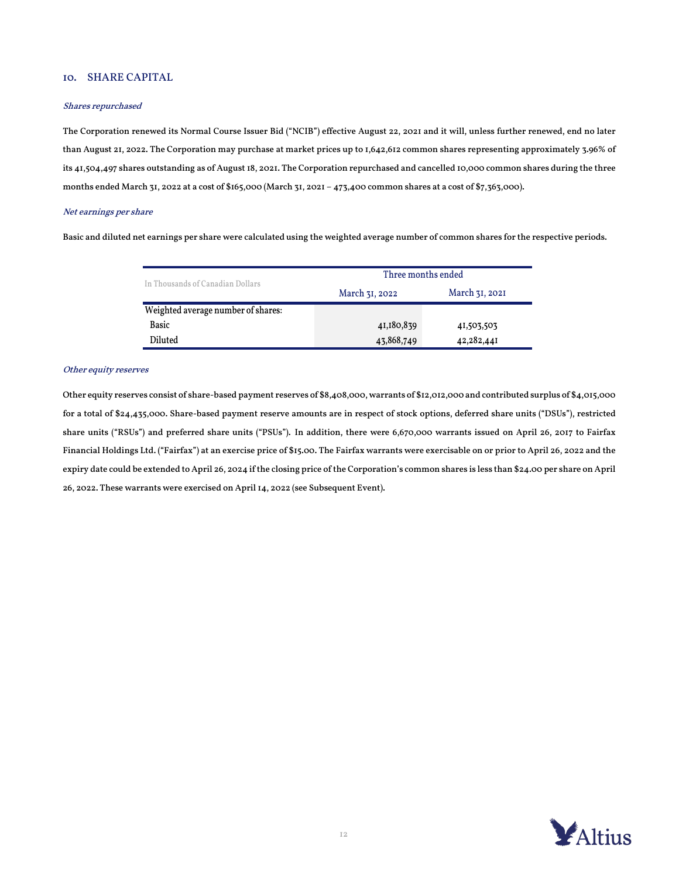## 10. SHARE CAPITAL

#### Shares repurchased

The Corporation renewed its Normal Course Issuer Bid ("NCIB") effective August 22, 2021 and it will, unless further renewed, end no later than August 21, 2022. The Corporation may purchase at market prices up to 1,642,612 common shares representing approximately 3.96% of its 41,504,497 shares outstanding as of August 18, 2021. The Corporation repurchased and cancelled 10,000 common shares during the three months ended March 31, 2022 at a cost of \$165,000 (March 31, 2021 – 473,400 common shares at a cost of \$7,363,000).

### Net earnings per share

Basic and diluted net earnings per share were calculated using the weighted average number of common shares for the respective periods.

|                                    | Three months ended |                |  |  |  |  |
|------------------------------------|--------------------|----------------|--|--|--|--|
| In Thousands of Canadian Dollars   | March 31, 2022     | March 31, 2021 |  |  |  |  |
| Weighted average number of shares: |                    |                |  |  |  |  |
| Basic                              | 41,180,839         | 41,503,503     |  |  |  |  |
| Diluted                            | 43,868,749         | 42,282,441     |  |  |  |  |

### Other equity reserves

Other equity reserves consist of share-based payment reserves of \$8,408,000, warrants of \$12,012,000 and contributed surplus of \$4,015,000 for a total of \$24,435,000. Share-based payment reserve amounts are in respect of stock options, deferred share units ("DSUs"), restricted share units ("RSUs") and preferred share units ("PSUs"). In addition, there were 6,670,000 warrants issued on April 26, 2017 to Fairfax Financial Holdings Ltd. ("Fairfax") at an exercise price of \$15.00. The Fairfax warrants were exercisable on or prior to April 26, 2022 and the expiry date could be extended to April 26, 2024 if the closing price of the Corporation's common shares is less than \$24.00 per share on April 26, 2022. These warrants were exercised on April 14, 2022 (see Subsequent Event).

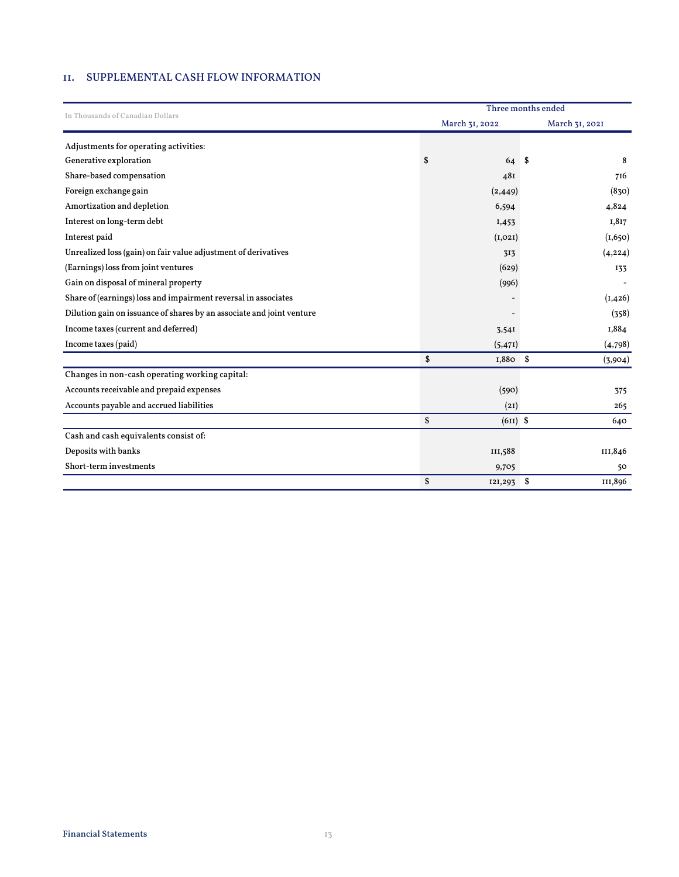## 11. SUPPLEMENTAL CASH FLOW INFORMATION

|                                                                       | Three months ended |                |              |  |
|-----------------------------------------------------------------------|--------------------|----------------|--------------|--|
| In Thousands of Canadian Dollars                                      | March 31, 2022     | March 31, 2021 |              |  |
| Adjustments for operating activities:                                 |                    |                |              |  |
| Generative exploration                                                | \$<br>64 \$        |                | 8            |  |
| Share-based compensation                                              | 481                |                | 716          |  |
| Foreign exchange gain                                                 | (2, 449)           |                | (830)        |  |
| Amortization and depletion                                            | 6,594              |                | 4,824        |  |
| Interest on long-term debt                                            | I,453              |                | 1,817        |  |
| Interest paid                                                         | (I, 02I)           |                | (1,650)      |  |
| Unrealized loss (gain) on fair value adjustment of derivatives        | 313                |                | (4, 224)     |  |
| (Earnings) loss from joint ventures                                   | (629)              |                | 133          |  |
| Gain on disposal of mineral property                                  | (996)              |                |              |  |
| Share of (earnings) loss and impairment reversal in associates        |                    |                | (I, 426)     |  |
| Dilution gain on issuance of shares by an associate and joint venture |                    |                | (358)        |  |
| Income taxes (current and deferred)                                   | 3,54I              |                | 1,884        |  |
| Income taxes (paid)                                                   | (5, 47I)           |                | (4, 798)     |  |
|                                                                       | \$<br>$1,880$ \$   |                | (3,904)      |  |
| Changes in non-cash operating working capital:                        |                    |                |              |  |
| Accounts receivable and prepaid expenses                              | (590)              |                | 375          |  |
| Accounts payable and accrued liabilities                              | (2I)               |                | 265          |  |
|                                                                       | \$<br>$(611)$ \$   |                | 640          |  |
| Cash and cash equivalents consist of:                                 |                    |                |              |  |
| Deposits with banks                                                   | III,588            |                | III,846      |  |
| Short-term investments                                                | 9,705              |                | $50^{\circ}$ |  |
|                                                                       | \$<br>121,293      | -\$            | III,896      |  |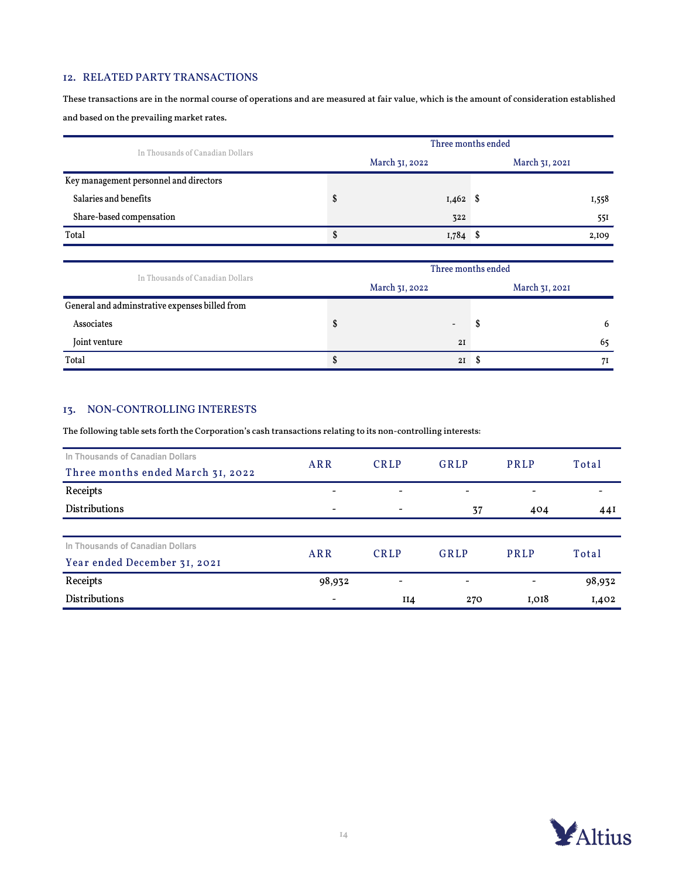## 12. RELATED PARTY TRANSACTIONS

These transactions are in the normal course of operations and are measured at fair value, which is the amount of consideration established and based on the prevailing market rates.

| In Thousands of Canadian Dollars       |                | Three months ended |  |                |  |  |  |  |
|----------------------------------------|----------------|--------------------|--|----------------|--|--|--|--|
|                                        | March 31, 2022 |                    |  | March 31, 2021 |  |  |  |  |
| Key management personnel and directors |                |                    |  |                |  |  |  |  |
| Salaries and benefits                  |                | $1,462$ \$         |  | 1,558          |  |  |  |  |
| Share-based compensation               |                | 322                |  | 55I            |  |  |  |  |
| Total                                  | \$             | $1,784$ \$         |  | 2,109          |  |  |  |  |
|                                        |                |                    |  |                |  |  |  |  |

| In Thousands of Canadian Dollars               | Three months ended |                |   |                |  |  |
|------------------------------------------------|--------------------|----------------|---|----------------|--|--|
|                                                |                    | March 31, 2022 |   | March 31, 2021 |  |  |
| General and adminstrative expenses billed from |                    |                |   |                |  |  |
| Associates                                     |                    | -              | ъ | 6              |  |  |
| Joint venture                                  |                    | 2I             |   | 65             |  |  |
| Total                                          |                    | 2I             |   | 71             |  |  |

# 13. NON-CONTROLLING INTERESTS

The following table sets forth the Corporation's cash transactions relating to its non-controlling interests:

| In Thousands of Canadian Dollars  | ARR                      | <b>CRLP</b>                  | GRLP | <b>PRLP</b>              | Total  |  |
|-----------------------------------|--------------------------|------------------------------|------|--------------------------|--------|--|
| Three months ended March 31, 2022 |                          |                              |      |                          |        |  |
| Receipts                          | $\overline{\phantom{a}}$ | $\qquad \qquad \blacksquare$ | -    | $\overline{\phantom{a}}$ |        |  |
| <b>Distributions</b>              | $\overline{\phantom{a}}$ |                              | 37   | 404                      | 44I    |  |
|                                   |                          |                              |      |                          |        |  |
| In Thousands of Canadian Dollars  | ARR                      | <b>CRLP</b>                  | GRLP | PRLP                     | Total  |  |
| Year ended December 31, 2021      |                          |                              |      |                          |        |  |
| Receipts                          | 98,932                   | -                            | -    |                          | 98,932 |  |
| <b>Distributions</b>              | $\overline{\phantom{0}}$ | II4                          | 270  | I,018                    | I,402  |  |

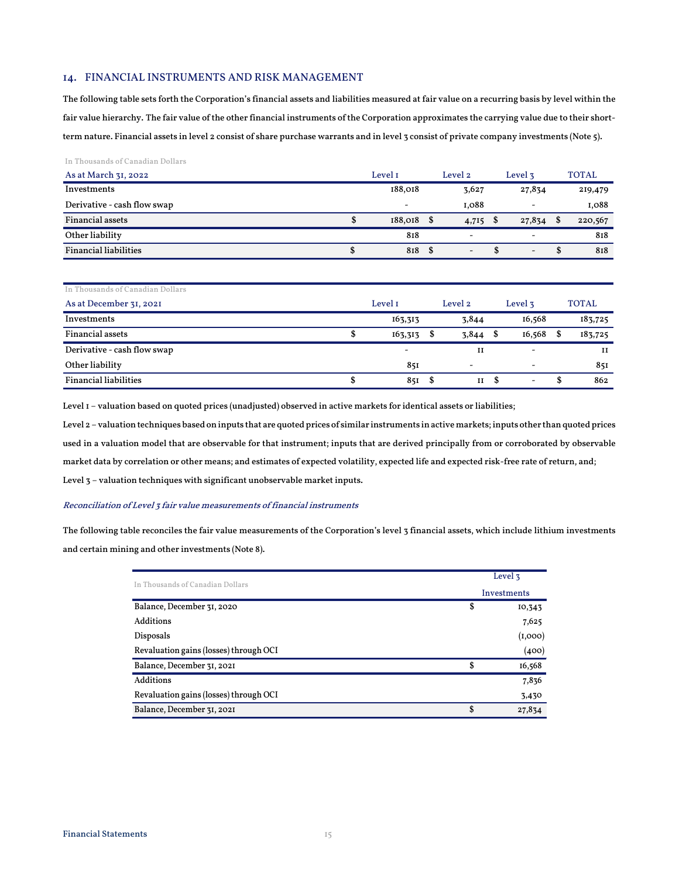### 14. FINANCIAL INSTRUMENTS AND RISK MANAGEMENT

The following table sets forth the Corporation's financial assets and liabilities measured at fair value on a recurring basis by level within the fair value hierarchy. The fair value of the other financial instruments of the Corporation approximates the carrying value due to their shortterm nature. Financial assets in level 2 consist of share purchase warrants and in level 3 consist of private company investments (Note 5).

#### In Thousands of Canadian Dollars

| As at March 31, 2022          | Level 1                  | Level 2                      | Level 3                      | <b>TOTAL</b> |
|-------------------------------|--------------------------|------------------------------|------------------------------|--------------|
| Investments                   | 188,018                  | 3,627                        | 27,834                       | 219,479      |
| Derivative - cash flow swap   | $\overline{\phantom{a}}$ | I.088                        | $\overline{\phantom{a}}$     | I,088        |
| <b>Financial assets</b><br>\$ | $188,018$ \$             | $4,715$ \$                   | 27,834                       | 220,567<br>S |
| Other liability               | 818                      | $\overline{\phantom{a}}$     | $\qquad \qquad \blacksquare$ | 818          |
| <b>Financial liabilities</b>  | 818 \$                   | $\qquad \qquad \blacksquare$ | $\overline{\phantom{a}}$     | 818<br>-8    |

| In Thousands of Canadian Dollars |                          |         |                          |                    |                          |              |         |
|----------------------------------|--------------------------|---------|--------------------------|--------------------|--------------------------|--------------|---------|
| As at December 31, 2021          | Level I                  | Level 2 |                          | Level <sub>3</sub> |                          | <b>TOTAL</b> |         |
| Investments                      | 163,313                  |         | 3,844                    |                    | 16,568                   |              | 183,725 |
| <b>Financial assets</b>          | 163,313                  | \$      | 3,844                    | - \$               | 16,568                   | S            | 183,725 |
| Derivative - cash flow swap      | $\overline{\phantom{a}}$ |         | и                        |                    | $\overline{\phantom{a}}$ |              | и       |
| Other liability                  | 851                      |         | $\overline{\phantom{a}}$ |                    |                          |              | 851     |
| <b>Financial liabilities</b>     | 85I S                    |         | II                       | - \$               | -                        | ъ            | 862     |

Level 1 – valuation based on quoted prices (unadjusted) observed in active markets for identical assets or liabilities;

Level 2 – valuation techniques based on inputs that are quoted prices of similar instruments in active markets; inputs other than quoted prices used in a valuation model that are observable for that instrument; inputs that are derived principally from or corroborated by observable market data by correlation or other means; and estimates of expected volatility, expected life and expected risk-free rate of return, and; Level 3 – valuation techniques with significant unobservable market inputs.

#### Reconciliation of Level 3 fair value measurements of financial instruments

The following table reconciles the fair value measurements of the Corporation's level 3 financial assets, which include lithium investments and certain mining and other investments (Note 8).

| In Thousands of Canadian Dollars       | Level 3      |
|----------------------------------------|--------------|
|                                        | Investments  |
| Balance, December 31, 2020             | \$<br>10,343 |
| Additions                              | 7,625        |
| Disposals                              | (1,000)      |
| Revaluation gains (losses) through OCI | (400)        |
| Balance, December 31, 2021             | \$<br>16,568 |
| <b>Additions</b>                       | 7,836        |
| Revaluation gains (losses) through OCI | 3,430        |
| Balance, December 31, 2021             | \$<br>27,834 |
|                                        |              |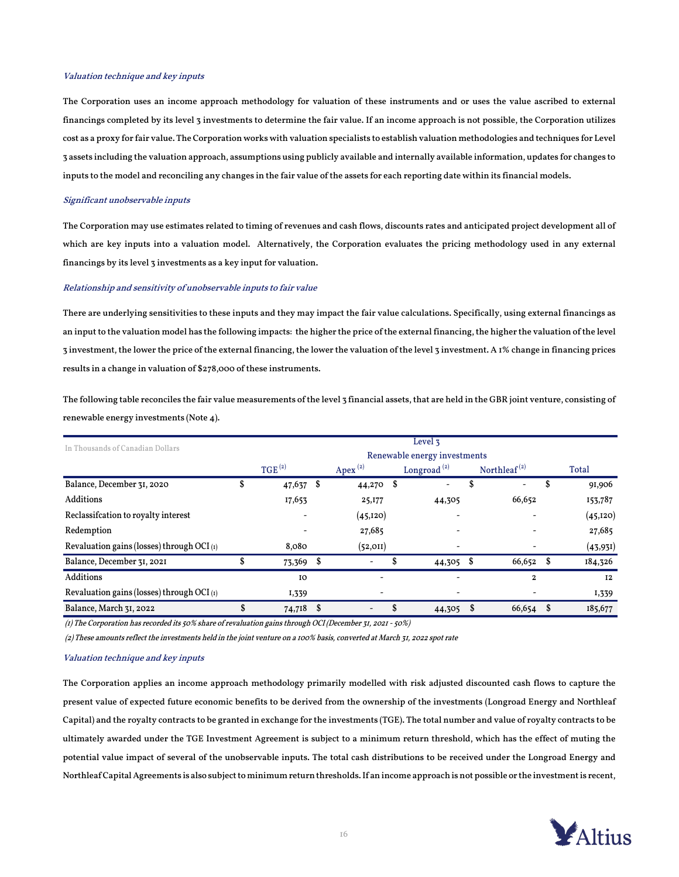#### Valuation technique and key inputs

The Corporation uses an income approach methodology for valuation of these instruments and or uses the value ascribed to external financings completed by its level 3 investments to determine the fair value. If an income approach is not possible, the Corporation utilizes cost as a proxy for fair value. The Corporation works with valuation specialists to establish valuation methodologies and techniques for Level 3 assets including the valuation approach, assumptions using publicly available and internally available information, updates for changes to inputs to the model and reconciling any changes in the fair value of the assets for each reporting date within its financial models.

#### Significant unobservable inputs

The Corporation may use estimates related to timing of revenues and cash flows, discounts rates and anticipated project development all of which are key inputs into a valuation model. Alternatively, the Corporation evaluates the pricing methodology used in any external financings by its level 3 investments as a key input for valuation.

### Relationship and sensitivity of unobservable inputs to fair value

There are underlying sensitivities to these inputs and they may impact the fair value calculations. Specifically, using external financings as an input to the valuation model has the following impacts: the higher the price of the external financing, the higher the valuation of the level 3 investment, the lower the price of the external financing, the lower the valuation of the level 3 investment. A 1% change in financing prices results in a change in valuation of \$278,000 of these instruments.

The following table reconciles the fair value measurements of the level 3 financial assets, that are held in the GBR joint venture, consisting of renewable energy investments (Note 4).

| In Thousands of Canadian Dollars             | Level <sub>3</sub> |                              |    |            |                |           |    |                                       |   |           |  |  |
|----------------------------------------------|--------------------|------------------------------|----|------------|----------------|-----------|----|---------------------------------------|---|-----------|--|--|
|                                              |                    | Renewable energy investments |    |            |                |           |    |                                       |   |           |  |  |
|                                              |                    | TGE <sup>(2)</sup>           |    | Apex $(2)$ | Longroad $(2)$ |           |    | Northleaf <sup><math>(2)</math></sup> |   | Total     |  |  |
| Balance, December 31, 2020                   | \$                 | 47,637                       | Ŝ. | 44,270 \$  |                | -         | \$ |                                       | S | 91,906    |  |  |
| Additions                                    |                    | 17,653                       |    | 25,177     |                | 44,305    |    | 66,652                                |   | 153,787   |  |  |
| Reclassification to royalty interest         |                    | $\overline{\phantom{0}}$     |    | (45, 120)  |                |           |    | -                                     |   | (45, 120) |  |  |
| Redemption                                   |                    |                              |    | 27,685     |                |           |    |                                       |   | 27,685    |  |  |
| Revaluation gains (losses) through OCI $(t)$ |                    | 8,080                        |    | (52, 011)  |                |           |    |                                       |   | (43, 931) |  |  |
| Balance, December 31, 2021                   |                    | 73,369                       | -S |            |                | 44,305 \$ |    | 66,652                                | S | 184,326   |  |  |
| <b>Additions</b>                             |                    | IO                           |    |            |                |           |    | $\mathbf{2}$                          |   | <b>I2</b> |  |  |
| Revaluation gains (losses) through OCI (1)   |                    | 1,339                        |    |            |                |           |    |                                       |   | I,339     |  |  |
| Balance, March 31, 2022                      | \$                 | 74,718 \$                    |    | -          |                | 44,305    |    | 66,654                                | S | 185,677   |  |  |

(1) The Corporation has recorded its 50% share of revaluation gains through OCI (December 31, 2021 - 50%)

(2) These amounts reflect the investments held in the joint venture on a 100% basis, converted at March 31, 2022 spot rate

### Valuation technique and key inputs

 potential value impact of several of the unobservable inputs. The total cash distributions to be received under the Longroad Energy and Capital) and the royalty contracts to be granted in exchange for the investments (TGE). The total number and value of royalty contracts to be The Corporation applies an income approach methodology primarily modelled with risk adjusted discounted cash flows to capture the present value of expected future economic benefits to be derived from the ownership of the investments (Longroad Energy and Northleaf ultimately awarded under the TGE Investment Agreement is subject to a minimum return threshold, which has the effect of muting the Northleaf Capital Agreements is also subject to minimum return thresholds. If an income approach is not possible or the investment is recent,

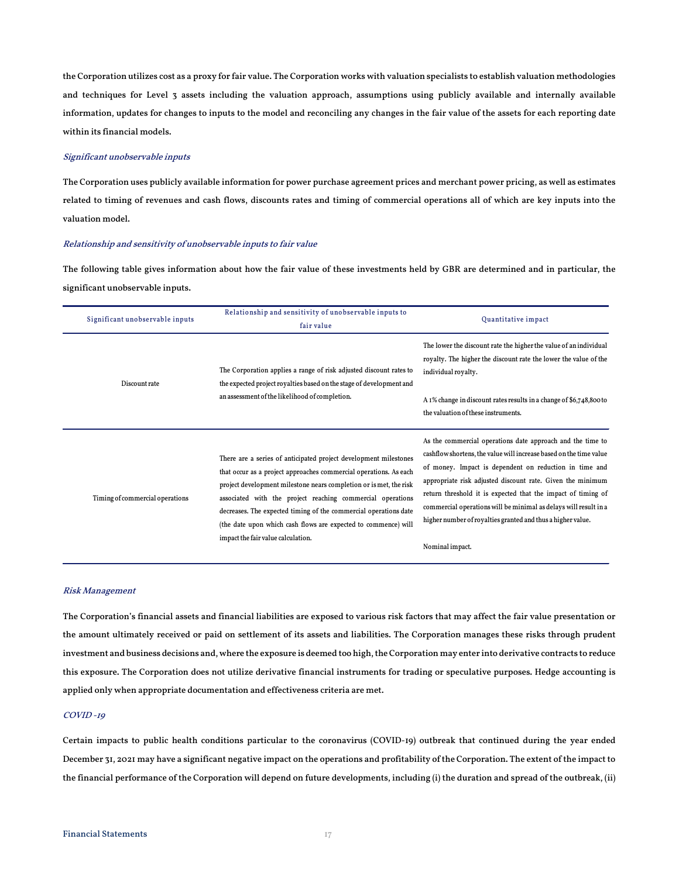the Corporation utilizes cost as a proxy for fair value. The Corporation works with valuation specialists to establish valuation methodologies and techniques for Level 3 assets including the valuation approach, assumptions using publicly available and internally available information, updates for changes to inputs to the model and reconciling any changes in the fair value of the assets for each reporting date within its financial models.

## Significant unobservable inputs

The Corporation uses publicly available information for power purchase agreement prices and merchant power pricing, as well as estimates related to timing of revenues and cash flows, discounts rates and timing of commercial operations all of which are key inputs into the valuation model.

### Relationship and sensitivity of unobservable inputs to fair value

The following table gives information about how the fair value of these investments held by GBR are determined and in particular, the significant unobservable inputs.

| Significant unobservable inputs | Relationship and sensitivity of unobservable inputs to<br>fair value                                                                                                                                                                                                                                                                                                                                                                                  | Quantitative impact                                                                                                                                                                                                                                                                                                                                                                                                                                                            |  |  |  |  |  |
|---------------------------------|-------------------------------------------------------------------------------------------------------------------------------------------------------------------------------------------------------------------------------------------------------------------------------------------------------------------------------------------------------------------------------------------------------------------------------------------------------|--------------------------------------------------------------------------------------------------------------------------------------------------------------------------------------------------------------------------------------------------------------------------------------------------------------------------------------------------------------------------------------------------------------------------------------------------------------------------------|--|--|--|--|--|
| Discount rate                   | The Corporation applies a range of risk adjusted discount rates to<br>the expected project royalties based on the stage of development and<br>an assessment of the likelihood of completion.                                                                                                                                                                                                                                                          | The lower the discount rate the higher the value of an individual<br>royalty. The higher the discount rate the lower the value of the<br>individual royalty.<br>A 1% change in discount rates results in a change of \$6,748,800 to<br>the valuation of these instruments.                                                                                                                                                                                                     |  |  |  |  |  |
| Timing of commercial operations | There are a series of anticipated project development milestones<br>that occur as a project approaches commercial operations. As each<br>project development milestone nears completion or is met, the risk<br>associated with the project reaching commercial operations<br>decreases. The expected timing of the commercial operations date<br>(the date upon which cash flows are expected to commence) will<br>impact the fair value calculation. | As the commercial operations date approach and the time to<br>cashflow shortens, the value will increase based on the time value<br>of money. Impact is dependent on reduction in time and<br>appropriate risk adjusted discount rate. Given the minimum<br>return threshold it is expected that the impact of timing of<br>commercial operations will be minimal as delays will result in a<br>higher number of royalties granted and thus a higher value.<br>Nominal impact. |  |  |  |  |  |

#### Risk Management

The Corporation's financial assets and financial liabilities are exposed to various risk factors that may affect the fair value presentation or the amount ultimately received or paid on settlement of its assets and liabilities. The Corporation manages these risks through prudent investment and business decisions and, where the exposure is deemed too high, the Corporation may enter into derivative contracts to reduce this exposure. The Corporation does not utilize derivative financial instruments for trading or speculative purposes. Hedge accounting is applied only when appropriate documentation and effectiveness criteria are met.

### COVID -19

Certain impacts to public health conditions particular to the coronavirus (COVID-19) outbreak that continued during the year ended December 31, 2021 may have a significant negative impact on the operations and profitability of the Corporation. The extent of the impact to the financial performance of the Corporation will depend on future developments, including (i) the duration and spread of the outbreak, (ii)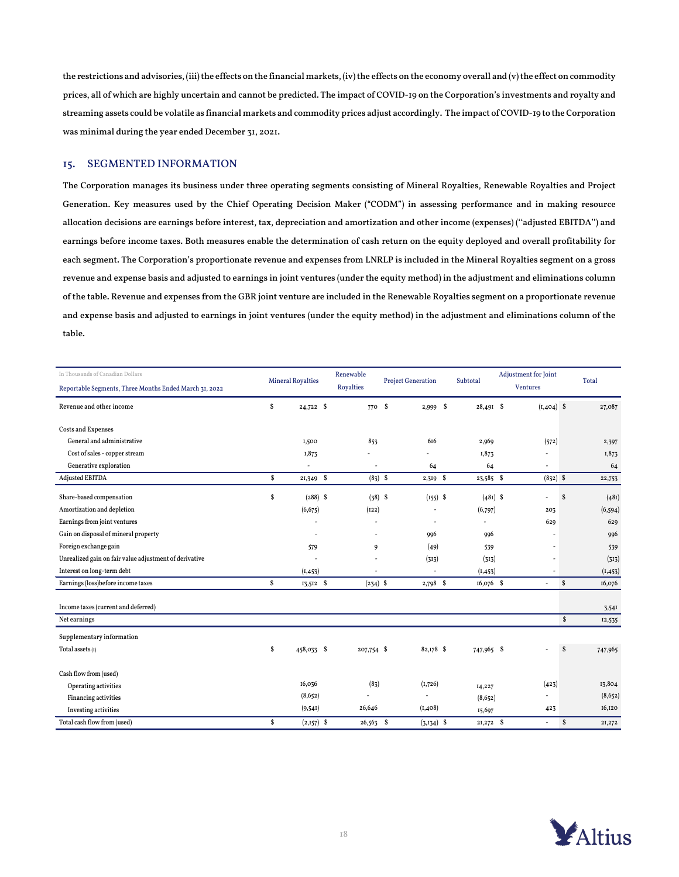the restrictions and advisories, (iii) the effects on the financial markets, (iv) the effects on the economy overall and (v) the effect on commodity prices, all of which are highly uncertain and cannot be predicted. The impact of COVID-19 on the Corporation's investments and royalty and streaming assets could be volatile as financial markets and commodity prices adjust accordingly. The impact of COVID-19 to the Corporation was minimal during the year ended December 31, 2021.

## 15. SEGMENTED INFORMATION

The Corporation manages its business under three operating segments consisting of Mineral Royalties, Renewable Royalties and Project Generation. Key measures used by the Chief Operating Decision Maker ("CODM") in assessing performance and in making resource allocation decisions are earnings before interest, tax, depreciation and amortization and other income (expenses) (''adjusted EBITDA'') and earnings before income taxes. Both measures enable the determination of cash return on the equity deployed and overall profitability for each segment. The Corporation's proportionate revenue and expenses from LNRLP is included in the Mineral Royalties segment on a gross revenue and expense basis and adjusted to earnings in joint ventures (under the equity method) in the adjustment and eliminations column of the table. Revenue and expenses from the GBR joint venture are included in the Renewable Royalties segment on a proportionate revenue and expense basis and adjusted to earnings in joint ventures (under the equity method) in the adjustment and eliminations column of the table.

| In Thousands of Canadian Dollars                       | <b>Mineral Royalties</b> |              | Renewable                | <b>Project Generation</b> |                          | Subtotal    | Adjustment for Joint |    | Total    |  |
|--------------------------------------------------------|--------------------------|--------------|--------------------------|---------------------------|--------------------------|-------------|----------------------|----|----------|--|
| Reportable Segments, Three Months Ended March 31, 2022 |                          |              | <b>Royalties</b>         |                           |                          |             | <b>Ventures</b>      |    |          |  |
| Revenue and other income                               | \$                       | $24,722$ \$  | 770 \$                   |                           | 2,999 \$                 | $28,49I$ \$ | $(I, 404)$ \$        |    | 27,087   |  |
| <b>Costs and Expenses</b>                              |                          |              |                          |                           |                          |             |                      |    |          |  |
| General and administrative                             |                          | 1,500        | 853                      |                           | 616                      | 2,969       | (572)                |    | 2,397    |  |
| Cost of sales - copper stream                          |                          | 1,873        |                          |                           |                          | 1,873       |                      |    | 1,873    |  |
| Generative exploration                                 |                          | $\sim$       | $\overline{\phantom{a}}$ |                           | 64                       | 64          | ٠                    |    | 64       |  |
| Adjusted EBITDA                                        | \$                       | 21,349 \$    | $(83)$ \$                |                           | $2,319$ \$               | 23,585 \$   | $(832)$ \$           |    | 22,753   |  |
| Share-based compensation                               | S                        | $(288)$ \$   | $(38)$ \$                |                           | $(155)$ \$               | $(481)$ \$  | ÷                    | S  | (48I)    |  |
| Amortization and depletion                             |                          | (6, 675)     | (122)                    |                           | $\overline{\phantom{a}}$ | (6,797)     | 203                  |    | (6, 594) |  |
| Earnings from joint ventures                           |                          |              | ä,                       |                           | $\sim$                   |             | 629                  |    | 629      |  |
| Gain on disposal of mineral property                   |                          |              | $\overline{a}$           |                           | 996                      | 996         |                      |    | 996      |  |
| Foreign exchange gain                                  |                          | 579          | 9                        |                           | (49)                     | 539         |                      |    | 539      |  |
| Unrealized gain on fair value adjustment of derivative |                          |              | ÷                        |                           | (313)                    | (313)       |                      |    | (313)    |  |
| Interest on long-term debt                             |                          | (I, 453)     | $\overline{a}$           |                           | $\sim$                   | (I, 453)    |                      |    | (I, 453) |  |
| Earnings (loss)before income taxes                     | \$                       | 13,512 \$    | $(234)$ \$               |                           | $2,798$ \$               | $16,076$ \$ | ÷                    | \$ | 16,076   |  |
| Income taxes (current and deferred)                    |                          |              |                          |                           |                          |             |                      |    | 3,541    |  |
| Net earnings                                           |                          |              |                          |                           |                          |             |                      | \$ | 12,535   |  |
| Supplementary information                              |                          |              |                          |                           |                          |             |                      |    |          |  |
| Total assets $(I)$                                     | \$                       | 458,033 \$   | 207,754 \$               |                           | 82,178 \$                | 747,965 \$  |                      | \$ | 747,965  |  |
| Cash flow from (used)                                  |                          |              |                          |                           |                          |             |                      |    |          |  |
| Operating activities                                   |                          | 16,036       | (83)                     |                           | (1,726)                  | 14,227      | (423)                |    | 13,804   |  |
| Financing activities                                   |                          | (8,652)      |                          |                           |                          | (8,652)     |                      |    | (8,652)  |  |
| Investing activities                                   |                          | (9,541)      | 26,646                   |                           | (I, 408)                 | 15,697      | 423                  |    | 16,120   |  |
| Total cash flow from (used)                            | \$                       | $(2,157)$ \$ | $26,563$ \$              |                           | $(3,134)$ \$             | $21,272$ \$ | $\omega$             | S  | 21,272   |  |

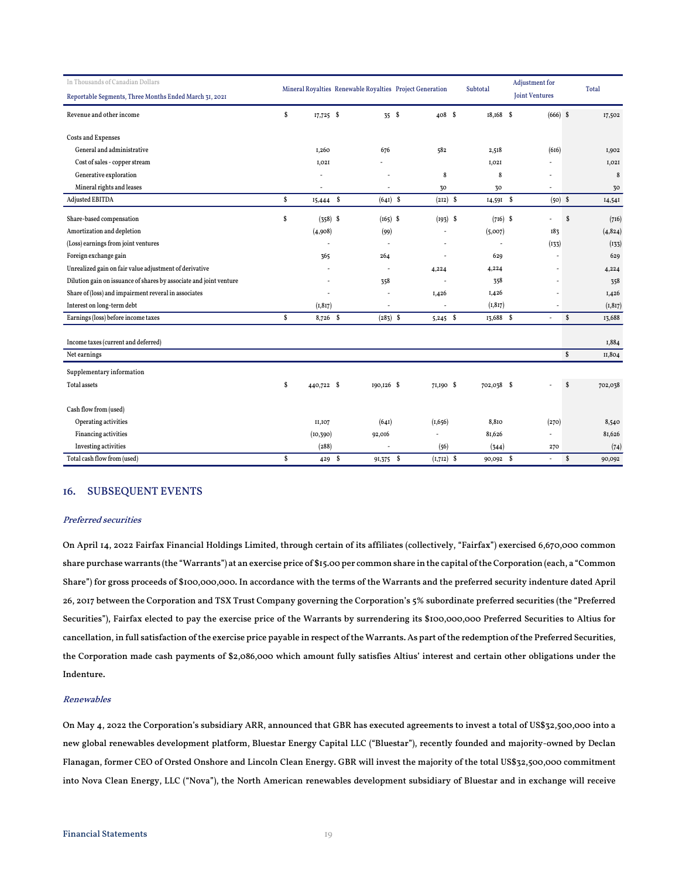| In Thousands of Canadian Dollars                                   |    |             |                                                          |              |            |                | Adjustment for<br><b>Joint Ventures</b> |              |          |
|--------------------------------------------------------------------|----|-------------|----------------------------------------------------------|--------------|------------|----------------|-----------------------------------------|--------------|----------|
| Reportable Segments, Three Months Ended March 31, 2021             |    |             | Mineral Royalties Renewable Royalties Project Generation |              | Subtotal   |                |                                         |              | Total    |
| Revenue and other income                                           | \$ | $17,725$ \$ | 35S                                                      | $408$ \$     | 18,168 \$  |                | $(666)$ \$                              |              | 17,502   |
| <b>Costs and Expenses</b>                                          |    |             |                                                          |              |            |                |                                         |              |          |
| General and administrative                                         |    | I,260       | 676                                                      | 582          | 2,518      |                | (616)                                   |              | I,902    |
| Cost of sales - copper stream                                      |    | I,02I       |                                                          |              | I, O2I     |                |                                         |              | I, O2I   |
| Generative exploration                                             |    |             |                                                          | 8            |            | 8              | $\overline{\phantom{a}}$                |              | 8        |
| Mineral rights and leases                                          |    |             | ÷,                                                       | 30           | 30         |                | $\overline{\phantom{a}}$                |              | 30       |
| Adjusted EBITDA                                                    | \$ | $15,444$ \$ | $(641)$ \$                                               | $(212)$ \$   |            | 14,591 \$      | $(50)$ \$                               |              | I4,54I   |
| Share-based compensation                                           | \$ | $(358)$ \$  | $(165)$ \$                                               | $(193)$ \$   |            | $(716)$ \$     |                                         | \$           | (716)    |
| Amortization and depletion                                         |    | (4,908)     | (99)                                                     |              | (5,007)    |                | 183                                     |              | (4, 824) |
| (Loss) earnings from joint ventures                                |    | ÷,          | $\overline{a}$                                           |              |            | $\overline{a}$ | (133)                                   |              | (133)    |
| Foreign exchange gain                                              |    | 365         | 264                                                      |              | 629        |                |                                         |              | 629      |
| Unrealized gain on fair value adjustment of derivative             |    |             |                                                          | 4,224        | 4,224      |                |                                         |              | 4,224    |
| Dilution gain on issuance of shares by associate and joint venture |    | ٠           | 358                                                      |              | 358        |                |                                         |              | 358      |
| Share of (loss) and impairment reveral in associates               |    | ٠           |                                                          | 1,426        | 1,426      |                |                                         |              | I,426    |
| Interest on long-term debt                                         |    | (1, 817)    | ÷,                                                       |              | (1, 817)   |                |                                         |              | (1, 817) |
| Earnings (loss) before income taxes                                | s. | 8,726 \$    | $(283)$ \$                                               | $5,245$ \$   | 13,688 \$  |                | $\blacksquare$                          | $\mathbf{s}$ | 13,688   |
| Income taxes (current and deferred)                                |    |             |                                                          |              |            |                |                                         |              | 1,884    |
| Net earnings                                                       |    |             |                                                          |              |            |                |                                         | \$           | II,804   |
| Supplementary information                                          |    |             |                                                          |              |            |                |                                         |              |          |
| Total assets                                                       | \$ | 440,722 \$  | $I90, I26$ \$                                            | 71,190 \$    | 702,038 \$ |                |                                         | <b>S</b>     | 702,038  |
| Cash flow from (used)                                              |    |             |                                                          |              |            |                |                                         |              |          |
| Operating activities                                               |    | II, IO7     | (64I)                                                    | (1,656)      | 8,810      |                | (270)                                   |              | 8,540    |
| Financing activities                                               |    | (10, 390)   | 92,016                                                   |              | 81,626     |                |                                         |              | 81,626   |
| Investing activities                                               |    | (288)       |                                                          | (56)         | (344)      |                | 270                                     |              | (74)     |
| Total cash flow from (used)                                        | s  | 429S        | 91,375 \$                                                | $(I,7I2)$ \$ | 90,092 \$  |                | $\sim$                                  | $\mathbf{s}$ | 90,092   |

### 16. SUBSEQUENT EVENTS

#### Preferred securities

On April 14, 2022 Fairfax Financial Holdings Limited, through certain of its affiliates (collectively, "Fairfax") exercised 6,670,000 common share purchase warrants (the "Warrants") at an exercise price of \$15.00 per common share in the capital of the Corporation (each, a "Common Share") for gross proceeds of \$100,000,000. In accordance with the terms of the Warrants and the preferred security indenture dated April 26, 2017 between the Corporation and TSX Trust Company governing the Corporation's 5% subordinate preferred securities (the "Preferred Securities"), Fairfax elected to pay the exercise price of the Warrants by surrendering its \$100,000,000 Preferred Securities to Altius for cancellation, in full satisfaction of the exercise price payable in respect of the Warrants. As part of the redemption of the Preferred Securities, the Corporation made cash payments of \$2,086,000 which amount fully satisfies Altius' interest and certain other obligations under the Indenture.

#### Renewables

On May 4, 2022 the Corporation's subsidiary ARR, announced that GBR has executed agreements to invest a total of US\$32,500,000 into a new global renewables development platform, Bluestar Energy Capital LLC ("Bluestar"), recently founded and majority-owned by Declan Flanagan, former CEO of Orsted Onshore and Lincoln Clean Energy. GBR will invest the majority of the total US\$32,500,000 commitment into Nova Clean Energy, LLC ("Nova"), the North American renewables development subsidiary of Bluestar and in exchange will receive